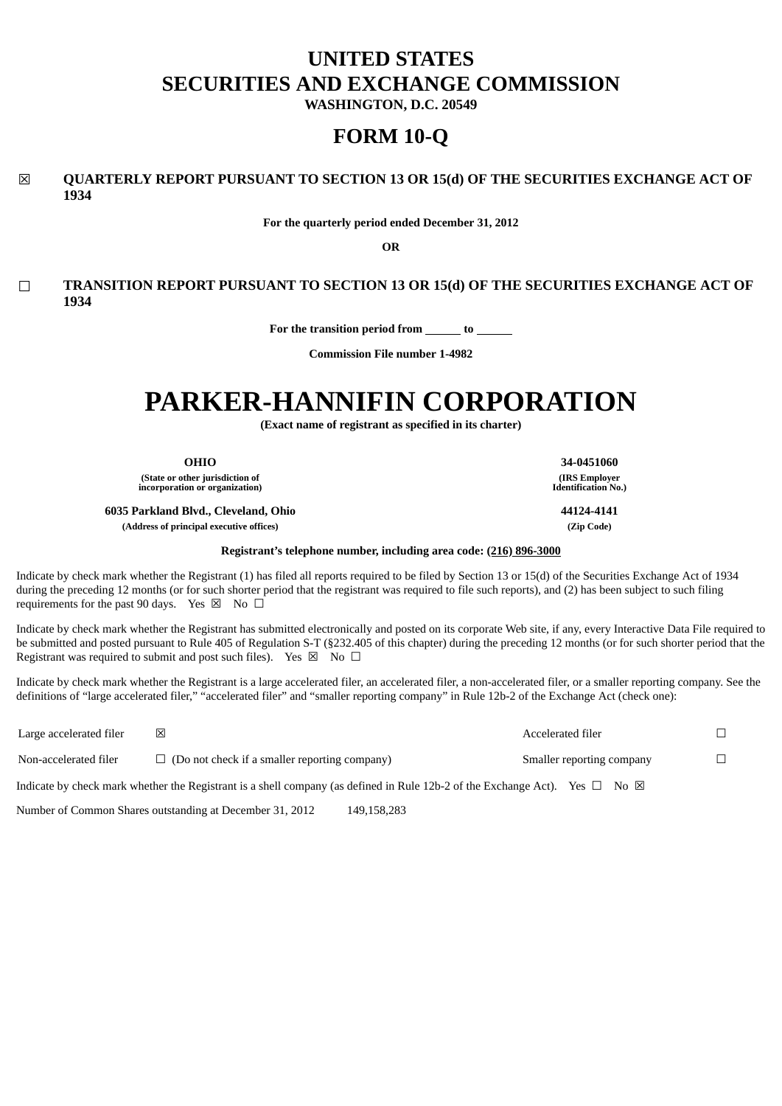# **UNITED STATES SECURITIES AND EXCHANGE COMMISSION**

**WASHINGTON, D.C. 20549**

# **FORM 10-Q**

## ☒ **QUARTERLY REPORT PURSUANT TO SECTION 13 OR 15(d) OF THE SECURITIES EXCHANGE ACT OF 1934**

**For the quarterly period ended December 31, 2012**

**OR**

## ☐ **TRANSITION REPORT PURSUANT TO SECTION 13 OR 15(d) OF THE SECURITIES EXCHANGE ACT OF 1934**

**For the transition period from to**

**Commission File number 1-4982**

# **PARKER-HANNIFIN CORPORATION**

**(Exact name of registrant as specified in its charter)**

**(State or other jurisdiction of incorporation or organization)**

**6035 Parkland Blvd., Cleveland, Ohio 44124-4141 (Address of principal executive offices) (Zip Code)**

**Registrant's telephone number, including area code: (216) 896-3000**

Indicate by check mark whether the Registrant (1) has filed all reports required to be filed by Section 13 or 15(d) of the Securities Exchange Act of 1934 during the preceding 12 months (or for such shorter period that the registrant was required to file such reports), and (2) has been subject to such filing requirements for the past 90 days. Yes  $\boxtimes$  No  $\Box$ 

Indicate by check mark whether the Registrant has submitted electronically and posted on its corporate Web site, if any, every Interactive Data File required to be submitted and posted pursuant to Rule 405 of Regulation S-T (§232.405 of this chapter) during the preceding 12 months (or for such shorter period that the Registrant was required to submit and post such files). Yes  $\boxtimes \Box$  No  $\Box$ 

Indicate by check mark whether the Registrant is a large accelerated filer, an accelerated filer, a non-accelerated filer, or a smaller reporting company. See the definitions of "large accelerated filer," "accelerated filer" and "smaller reporting company" in Rule 12b-2 of the Exchange Act (check one):

| Large accelerated filer | ⊠                                                                                                                                          | Accelerated filer         |    |
|-------------------------|--------------------------------------------------------------------------------------------------------------------------------------------|---------------------------|----|
| Non-accelerated filer   | $\Box$ (Do not check if a smaller reporting company)                                                                                       | Smaller reporting company | П. |
|                         | Indicate by check mark whether the Registrant is a shell company (as defined in Rule 12b-2 of the Exchange Act). Yes $\Box$ No $\boxtimes$ |                           |    |

Number of Common Shares outstanding at December 31, 2012 149,158,283

**OHIO 34-0451060 (IRS Employer Identification No.)**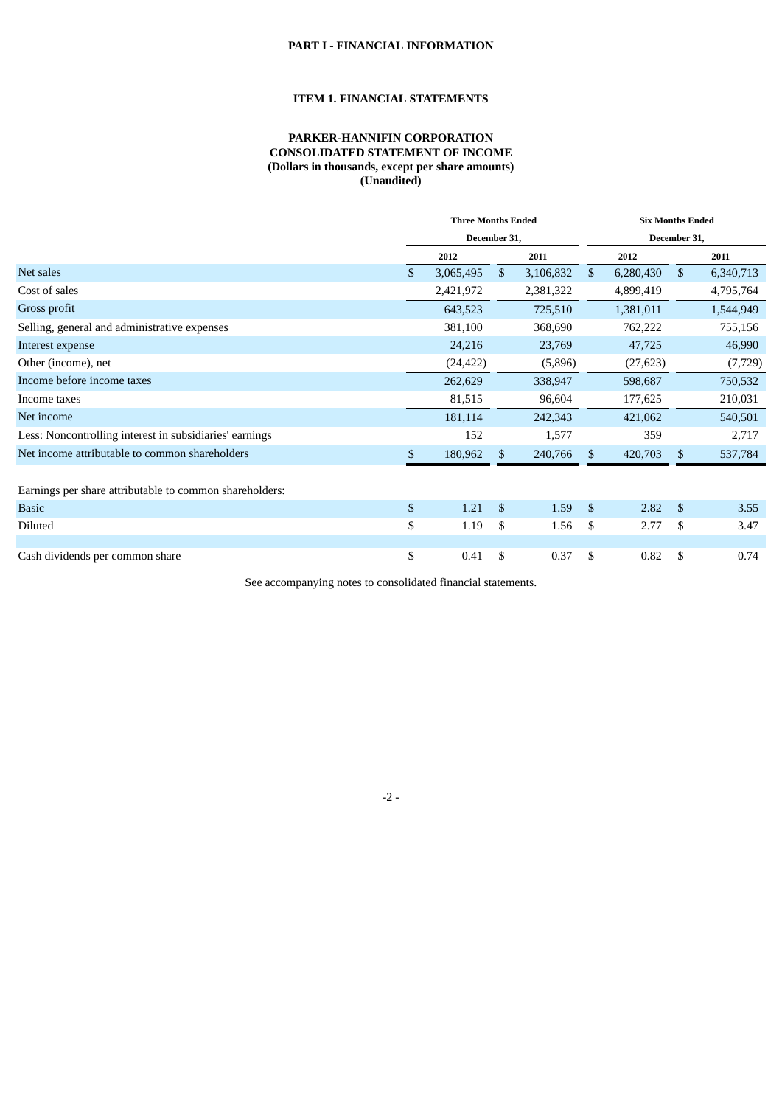## **PART I - FINANCIAL INFORMATION**

#### **ITEM 1. FINANCIAL STATEMENTS**

#### **PARKER-HANNIFIN CORPORATION CONSOLIDATED STATEMENT OF INCOME (Dollars in thousands, except per share amounts) (Unaudited)**

|                                                         | <b>Three Months Ended</b> |           |                |           |              | <b>Six Months Ended</b> |                |           |  |  |  |
|---------------------------------------------------------|---------------------------|-----------|----------------|-----------|--------------|-------------------------|----------------|-----------|--|--|--|
|                                                         | December 31,              |           |                |           |              | December 31,            |                |           |  |  |  |
|                                                         |                           | 2012      |                | 2011      |              | 2012                    |                | 2011      |  |  |  |
| Net sales                                               | \$                        | 3,065,495 | $\mathfrak{S}$ | 3,106,832 | \$           | 6,280,430               | $\mathbb{S}$   | 6,340,713 |  |  |  |
| Cost of sales                                           |                           | 2,421,972 |                | 2,381,322 |              | 4,899,419               |                | 4,795,764 |  |  |  |
| Gross profit                                            |                           | 643,523   |                | 725,510   |              | 1,381,011               |                | 1,544,949 |  |  |  |
| Selling, general and administrative expenses            |                           | 381,100   |                | 368,690   |              | 762,222                 |                | 755,156   |  |  |  |
| Interest expense                                        |                           | 24,216    |                | 23,769    |              | 47,725                  |                | 46,990    |  |  |  |
| Other (income), net                                     |                           | (24, 422) |                | (5,896)   |              | (27, 623)               |                | (7, 729)  |  |  |  |
| Income before income taxes                              |                           | 262,629   |                | 338,947   |              | 598,687                 |                | 750,532   |  |  |  |
| Income taxes                                            |                           | 81,515    |                | 96,604    |              | 177,625                 |                | 210,031   |  |  |  |
| Net income                                              |                           | 181,114   |                | 242,343   |              | 421,062                 |                | 540,501   |  |  |  |
| Less: Noncontrolling interest in subsidiaries' earnings |                           | 152       |                | 1,577     |              | 359                     |                | 2,717     |  |  |  |
| Net income attributable to common shareholders          | \$                        | 180,962   | $\mathfrak{S}$ | 240,766   | $\mathbb{S}$ | 420,703                 | $\mathfrak{S}$ | 537,784   |  |  |  |
| Earnings per share attributable to common shareholders: |                           |           |                |           |              |                         |                |           |  |  |  |
| <b>Basic</b>                                            | \$                        | 1.21      | $\mathbb{S}$   | 1.59      | \$           | 2.82                    | $\mathbf{s}$   | 3.55      |  |  |  |
| Diluted                                                 | \$                        | 1.19      | \$             | 1.56      | \$           | 2.77                    | \$             | 3.47      |  |  |  |
| Cash dividends per common share                         | \$                        | 0.41      | \$             | 0.37      | \$           | 0.82                    | \$             | 0.74      |  |  |  |

See accompanying notes to consolidated financial statements.

-2 -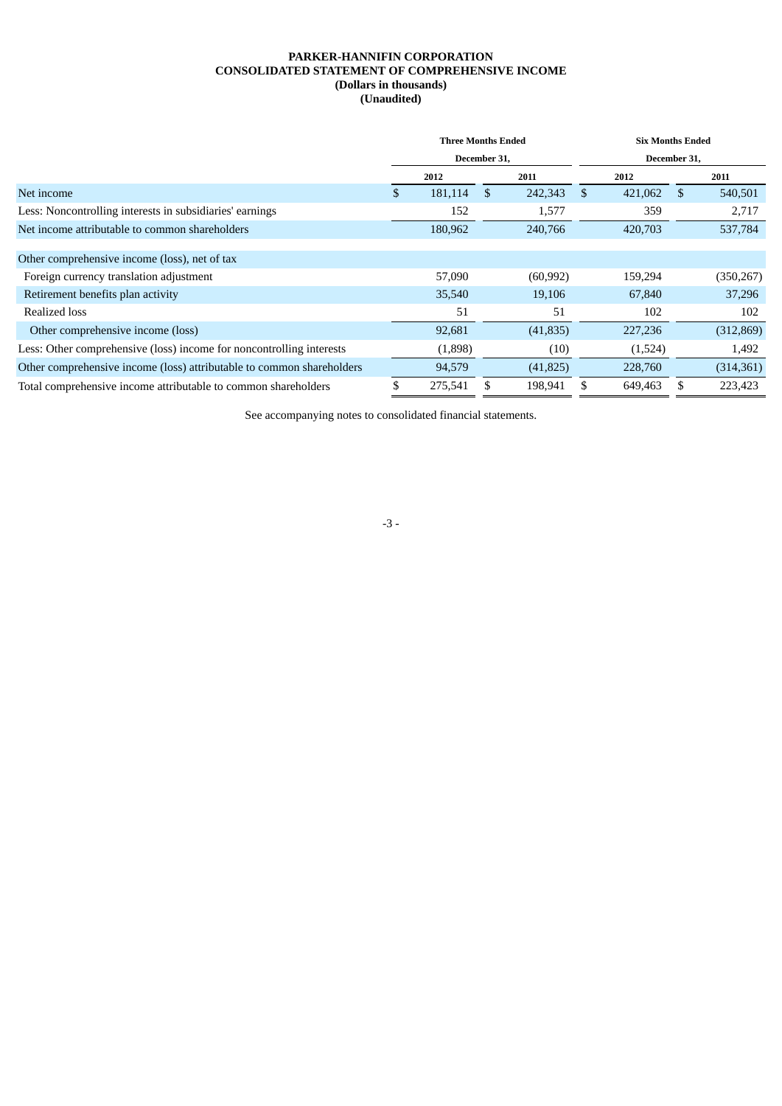#### **PARKER-HANNIFIN CORPORATION CONSOLIDATED STATEMENT OF COMPREHENSIVE INCOME (Dollars in thousands) (Unaudited)**

|                                                                       | <b>Three Months Ended</b> |              |               |           |              | <b>Six Months Ended</b> |               |            |  |  |  |
|-----------------------------------------------------------------------|---------------------------|--------------|---------------|-----------|--------------|-------------------------|---------------|------------|--|--|--|
|                                                                       |                           | December 31, |               |           | December 31, |                         |               |            |  |  |  |
|                                                                       | 2012                      |              | 2011          |           |              | 2012                    |               | 2011       |  |  |  |
| Net income                                                            | <b>S</b>                  | 181,114      | <sup>\$</sup> | 242,343   | \$.          | 421,062                 | <sup>\$</sup> | 540,501    |  |  |  |
| Less: Noncontrolling interests in subsidiaries' earnings              |                           | 152          |               | 1,577     |              | 359                     |               | 2,717      |  |  |  |
| Net income attributable to common shareholders                        |                           | 180,962      |               | 240,766   |              | 420,703                 |               | 537,784    |  |  |  |
| Other comprehensive income (loss), net of tax                         |                           |              |               |           |              |                         |               |            |  |  |  |
| Foreign currency translation adjustment                               |                           | 57,090       |               | (60, 992) |              | 159,294                 |               | (350, 267) |  |  |  |
| Retirement benefits plan activity                                     |                           | 35,540       |               | 19,106    |              | 67,840                  |               | 37,296     |  |  |  |
| Realized loss                                                         |                           | 51           |               | 51        |              | 102                     |               | 102        |  |  |  |
| Other comprehensive income (loss)                                     |                           | 92,681       |               | (41, 835) |              | 227,236                 |               | (312, 869) |  |  |  |
| Less: Other comprehensive (loss) income for noncontrolling interests  |                           | (1,898)      |               | (10)      |              | (1,524)                 |               | 1,492      |  |  |  |
| Other comprehensive income (loss) attributable to common shareholders |                           | 94,579       |               | (41, 825) |              | 228,760                 |               | (314, 361) |  |  |  |
| Total comprehensive income attributable to common shareholders        | \$                        | 275,541      |               | 198,941   | S.           | 649,463                 | \$            | 223,423    |  |  |  |

See accompanying notes to consolidated financial statements.

#### -3 -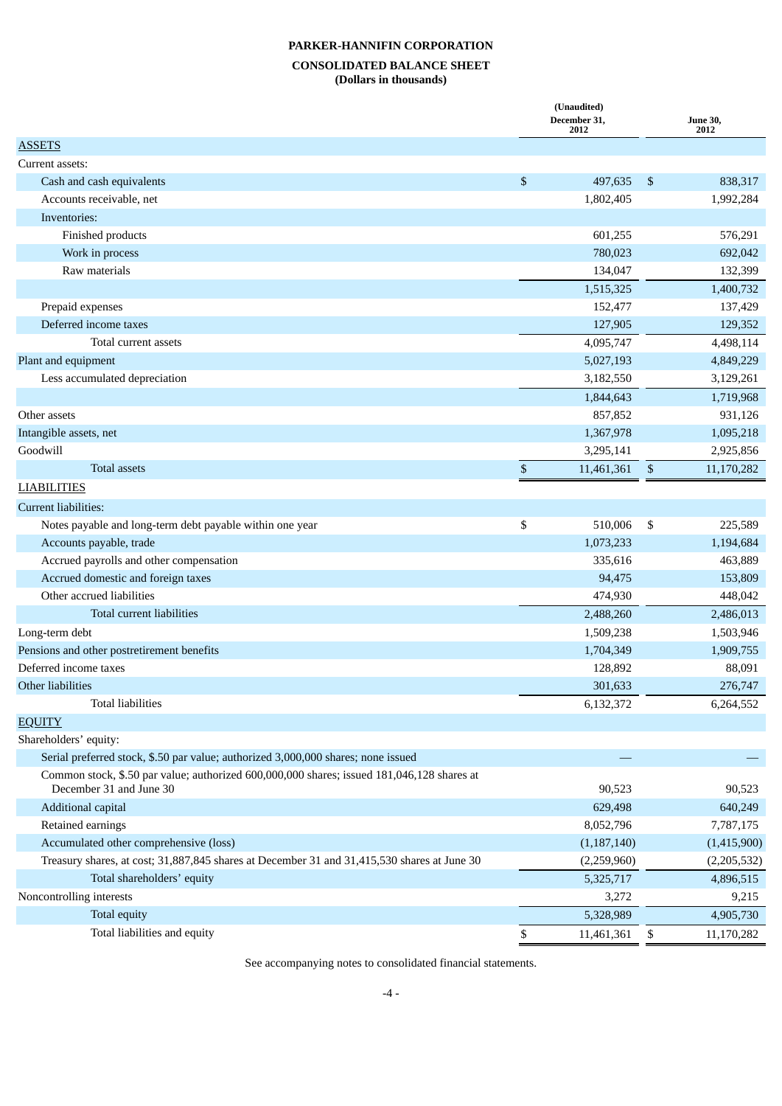## **CONSOLIDATED BALANCE SHEET (Dollars in thousands)**

| <b>ASSETS</b><br>Current assets:<br>\$<br>Cash and cash equivalents<br>497,635<br>\$<br>838,317<br>1,992,284<br>Accounts receivable, net<br>1,802,405<br>Inventories:<br>Finished products<br>601,255<br>576,291<br>Work in process<br>780,023<br>692,042<br>Raw materials<br>132,399<br>134,047<br>1,400,732<br>1,515,325<br>Prepaid expenses<br>137,429<br>152,477<br>Deferred income taxes<br>127,905<br>129,352<br>Total current assets<br>4,095,747<br>4,498,114<br>Plant and equipment<br>5,027,193<br>4,849,229<br>Less accumulated depreciation<br>3,182,550<br>3,129,261<br>1,719,968<br>1,844,643<br>Other assets<br>857,852<br>931,126<br>Intangible assets, net<br>1,367,978<br>1,095,218<br>Goodwill<br>3,295,141<br>2,925,856<br><b>Total assets</b><br>$\mathbb{S}$<br>\$<br>11,461,361<br>11,170,282<br><b>LIABILITIES</b><br>Current liabilities:<br>\$<br>Notes payable and long-term debt payable within one year<br>510,006<br>\$<br>225,589<br>1,073,233<br>Accounts payable, trade<br>1,194,684<br>Accrued payrolls and other compensation<br>463,889<br>335,616<br>Accrued domestic and foreign taxes<br>153,809<br>94,475<br>Other accrued liabilities<br>448,042<br>474,930<br>Total current liabilities<br>2,488,260<br>2,486,013<br>Long-term debt<br>1,509,238<br>1,503,946<br>Pensions and other postretirement benefits<br>1,909,755<br>1,704,349<br>Deferred income taxes<br>88,091<br>128,892<br>Other liabilities<br>276,747<br>301,633<br><b>Total liabilities</b><br>6,132,372<br>6,264,552<br><b>EQUITY</b><br>Shareholders' equity:<br>Serial preferred stock, \$.50 par value; authorized 3,000,000 shares; none issued<br>Common stock, \$.50 par value; authorized 600,000,000 shares; issued 181,046,128 shares at<br>December 31 and June 30<br>90,523<br>90,523<br>Additional capital<br>640,249<br>629,498 |
|--------------------------------------------------------------------------------------------------------------------------------------------------------------------------------------------------------------------------------------------------------------------------------------------------------------------------------------------------------------------------------------------------------------------------------------------------------------------------------------------------------------------------------------------------------------------------------------------------------------------------------------------------------------------------------------------------------------------------------------------------------------------------------------------------------------------------------------------------------------------------------------------------------------------------------------------------------------------------------------------------------------------------------------------------------------------------------------------------------------------------------------------------------------------------------------------------------------------------------------------------------------------------------------------------------------------------------------------------------------------------------------------------------------------------------------------------------------------------------------------------------------------------------------------------------------------------------------------------------------------------------------------------------------------------------------------------------------------------------------------------------------------------------------------------------------------------------------------------------|
|                                                                                                                                                                                                                                                                                                                                                                                                                                                                                                                                                                                                                                                                                                                                                                                                                                                                                                                                                                                                                                                                                                                                                                                                                                                                                                                                                                                                                                                                                                                                                                                                                                                                                                                                                                                                                                                        |
|                                                                                                                                                                                                                                                                                                                                                                                                                                                                                                                                                                                                                                                                                                                                                                                                                                                                                                                                                                                                                                                                                                                                                                                                                                                                                                                                                                                                                                                                                                                                                                                                                                                                                                                                                                                                                                                        |
|                                                                                                                                                                                                                                                                                                                                                                                                                                                                                                                                                                                                                                                                                                                                                                                                                                                                                                                                                                                                                                                                                                                                                                                                                                                                                                                                                                                                                                                                                                                                                                                                                                                                                                                                                                                                                                                        |
|                                                                                                                                                                                                                                                                                                                                                                                                                                                                                                                                                                                                                                                                                                                                                                                                                                                                                                                                                                                                                                                                                                                                                                                                                                                                                                                                                                                                                                                                                                                                                                                                                                                                                                                                                                                                                                                        |
|                                                                                                                                                                                                                                                                                                                                                                                                                                                                                                                                                                                                                                                                                                                                                                                                                                                                                                                                                                                                                                                                                                                                                                                                                                                                                                                                                                                                                                                                                                                                                                                                                                                                                                                                                                                                                                                        |
|                                                                                                                                                                                                                                                                                                                                                                                                                                                                                                                                                                                                                                                                                                                                                                                                                                                                                                                                                                                                                                                                                                                                                                                                                                                                                                                                                                                                                                                                                                                                                                                                                                                                                                                                                                                                                                                        |
|                                                                                                                                                                                                                                                                                                                                                                                                                                                                                                                                                                                                                                                                                                                                                                                                                                                                                                                                                                                                                                                                                                                                                                                                                                                                                                                                                                                                                                                                                                                                                                                                                                                                                                                                                                                                                                                        |
|                                                                                                                                                                                                                                                                                                                                                                                                                                                                                                                                                                                                                                                                                                                                                                                                                                                                                                                                                                                                                                                                                                                                                                                                                                                                                                                                                                                                                                                                                                                                                                                                                                                                                                                                                                                                                                                        |
|                                                                                                                                                                                                                                                                                                                                                                                                                                                                                                                                                                                                                                                                                                                                                                                                                                                                                                                                                                                                                                                                                                                                                                                                                                                                                                                                                                                                                                                                                                                                                                                                                                                                                                                                                                                                                                                        |
|                                                                                                                                                                                                                                                                                                                                                                                                                                                                                                                                                                                                                                                                                                                                                                                                                                                                                                                                                                                                                                                                                                                                                                                                                                                                                                                                                                                                                                                                                                                                                                                                                                                                                                                                                                                                                                                        |
|                                                                                                                                                                                                                                                                                                                                                                                                                                                                                                                                                                                                                                                                                                                                                                                                                                                                                                                                                                                                                                                                                                                                                                                                                                                                                                                                                                                                                                                                                                                                                                                                                                                                                                                                                                                                                                                        |
|                                                                                                                                                                                                                                                                                                                                                                                                                                                                                                                                                                                                                                                                                                                                                                                                                                                                                                                                                                                                                                                                                                                                                                                                                                                                                                                                                                                                                                                                                                                                                                                                                                                                                                                                                                                                                                                        |
|                                                                                                                                                                                                                                                                                                                                                                                                                                                                                                                                                                                                                                                                                                                                                                                                                                                                                                                                                                                                                                                                                                                                                                                                                                                                                                                                                                                                                                                                                                                                                                                                                                                                                                                                                                                                                                                        |
|                                                                                                                                                                                                                                                                                                                                                                                                                                                                                                                                                                                                                                                                                                                                                                                                                                                                                                                                                                                                                                                                                                                                                                                                                                                                                                                                                                                                                                                                                                                                                                                                                                                                                                                                                                                                                                                        |
|                                                                                                                                                                                                                                                                                                                                                                                                                                                                                                                                                                                                                                                                                                                                                                                                                                                                                                                                                                                                                                                                                                                                                                                                                                                                                                                                                                                                                                                                                                                                                                                                                                                                                                                                                                                                                                                        |
|                                                                                                                                                                                                                                                                                                                                                                                                                                                                                                                                                                                                                                                                                                                                                                                                                                                                                                                                                                                                                                                                                                                                                                                                                                                                                                                                                                                                                                                                                                                                                                                                                                                                                                                                                                                                                                                        |
|                                                                                                                                                                                                                                                                                                                                                                                                                                                                                                                                                                                                                                                                                                                                                                                                                                                                                                                                                                                                                                                                                                                                                                                                                                                                                                                                                                                                                                                                                                                                                                                                                                                                                                                                                                                                                                                        |
|                                                                                                                                                                                                                                                                                                                                                                                                                                                                                                                                                                                                                                                                                                                                                                                                                                                                                                                                                                                                                                                                                                                                                                                                                                                                                                                                                                                                                                                                                                                                                                                                                                                                                                                                                                                                                                                        |
|                                                                                                                                                                                                                                                                                                                                                                                                                                                                                                                                                                                                                                                                                                                                                                                                                                                                                                                                                                                                                                                                                                                                                                                                                                                                                                                                                                                                                                                                                                                                                                                                                                                                                                                                                                                                                                                        |
|                                                                                                                                                                                                                                                                                                                                                                                                                                                                                                                                                                                                                                                                                                                                                                                                                                                                                                                                                                                                                                                                                                                                                                                                                                                                                                                                                                                                                                                                                                                                                                                                                                                                                                                                                                                                                                                        |
|                                                                                                                                                                                                                                                                                                                                                                                                                                                                                                                                                                                                                                                                                                                                                                                                                                                                                                                                                                                                                                                                                                                                                                                                                                                                                                                                                                                                                                                                                                                                                                                                                                                                                                                                                                                                                                                        |
|                                                                                                                                                                                                                                                                                                                                                                                                                                                                                                                                                                                                                                                                                                                                                                                                                                                                                                                                                                                                                                                                                                                                                                                                                                                                                                                                                                                                                                                                                                                                                                                                                                                                                                                                                                                                                                                        |
|                                                                                                                                                                                                                                                                                                                                                                                                                                                                                                                                                                                                                                                                                                                                                                                                                                                                                                                                                                                                                                                                                                                                                                                                                                                                                                                                                                                                                                                                                                                                                                                                                                                                                                                                                                                                                                                        |
|                                                                                                                                                                                                                                                                                                                                                                                                                                                                                                                                                                                                                                                                                                                                                                                                                                                                                                                                                                                                                                                                                                                                                                                                                                                                                                                                                                                                                                                                                                                                                                                                                                                                                                                                                                                                                                                        |
|                                                                                                                                                                                                                                                                                                                                                                                                                                                                                                                                                                                                                                                                                                                                                                                                                                                                                                                                                                                                                                                                                                                                                                                                                                                                                                                                                                                                                                                                                                                                                                                                                                                                                                                                                                                                                                                        |
|                                                                                                                                                                                                                                                                                                                                                                                                                                                                                                                                                                                                                                                                                                                                                                                                                                                                                                                                                                                                                                                                                                                                                                                                                                                                                                                                                                                                                                                                                                                                                                                                                                                                                                                                                                                                                                                        |
|                                                                                                                                                                                                                                                                                                                                                                                                                                                                                                                                                                                                                                                                                                                                                                                                                                                                                                                                                                                                                                                                                                                                                                                                                                                                                                                                                                                                                                                                                                                                                                                                                                                                                                                                                                                                                                                        |
|                                                                                                                                                                                                                                                                                                                                                                                                                                                                                                                                                                                                                                                                                                                                                                                                                                                                                                                                                                                                                                                                                                                                                                                                                                                                                                                                                                                                                                                                                                                                                                                                                                                                                                                                                                                                                                                        |
|                                                                                                                                                                                                                                                                                                                                                                                                                                                                                                                                                                                                                                                                                                                                                                                                                                                                                                                                                                                                                                                                                                                                                                                                                                                                                                                                                                                                                                                                                                                                                                                                                                                                                                                                                                                                                                                        |
|                                                                                                                                                                                                                                                                                                                                                                                                                                                                                                                                                                                                                                                                                                                                                                                                                                                                                                                                                                                                                                                                                                                                                                                                                                                                                                                                                                                                                                                                                                                                                                                                                                                                                                                                                                                                                                                        |
|                                                                                                                                                                                                                                                                                                                                                                                                                                                                                                                                                                                                                                                                                                                                                                                                                                                                                                                                                                                                                                                                                                                                                                                                                                                                                                                                                                                                                                                                                                                                                                                                                                                                                                                                                                                                                                                        |
|                                                                                                                                                                                                                                                                                                                                                                                                                                                                                                                                                                                                                                                                                                                                                                                                                                                                                                                                                                                                                                                                                                                                                                                                                                                                                                                                                                                                                                                                                                                                                                                                                                                                                                                                                                                                                                                        |
|                                                                                                                                                                                                                                                                                                                                                                                                                                                                                                                                                                                                                                                                                                                                                                                                                                                                                                                                                                                                                                                                                                                                                                                                                                                                                                                                                                                                                                                                                                                                                                                                                                                                                                                                                                                                                                                        |
|                                                                                                                                                                                                                                                                                                                                                                                                                                                                                                                                                                                                                                                                                                                                                                                                                                                                                                                                                                                                                                                                                                                                                                                                                                                                                                                                                                                                                                                                                                                                                                                                                                                                                                                                                                                                                                                        |
|                                                                                                                                                                                                                                                                                                                                                                                                                                                                                                                                                                                                                                                                                                                                                                                                                                                                                                                                                                                                                                                                                                                                                                                                                                                                                                                                                                                                                                                                                                                                                                                                                                                                                                                                                                                                                                                        |
|                                                                                                                                                                                                                                                                                                                                                                                                                                                                                                                                                                                                                                                                                                                                                                                                                                                                                                                                                                                                                                                                                                                                                                                                                                                                                                                                                                                                                                                                                                                                                                                                                                                                                                                                                                                                                                                        |
|                                                                                                                                                                                                                                                                                                                                                                                                                                                                                                                                                                                                                                                                                                                                                                                                                                                                                                                                                                                                                                                                                                                                                                                                                                                                                                                                                                                                                                                                                                                                                                                                                                                                                                                                                                                                                                                        |
|                                                                                                                                                                                                                                                                                                                                                                                                                                                                                                                                                                                                                                                                                                                                                                                                                                                                                                                                                                                                                                                                                                                                                                                                                                                                                                                                                                                                                                                                                                                                                                                                                                                                                                                                                                                                                                                        |
| Retained earnings<br>7,787,175<br>8,052,796                                                                                                                                                                                                                                                                                                                                                                                                                                                                                                                                                                                                                                                                                                                                                                                                                                                                                                                                                                                                                                                                                                                                                                                                                                                                                                                                                                                                                                                                                                                                                                                                                                                                                                                                                                                                            |
| Accumulated other comprehensive (loss)<br>(1, 187, 140)<br>(1,415,900)                                                                                                                                                                                                                                                                                                                                                                                                                                                                                                                                                                                                                                                                                                                                                                                                                                                                                                                                                                                                                                                                                                                                                                                                                                                                                                                                                                                                                                                                                                                                                                                                                                                                                                                                                                                 |
| Treasury shares, at cost; 31,887,845 shares at December 31 and 31,415,530 shares at June 30<br>(2,259,960)<br>(2,205,532)                                                                                                                                                                                                                                                                                                                                                                                                                                                                                                                                                                                                                                                                                                                                                                                                                                                                                                                                                                                                                                                                                                                                                                                                                                                                                                                                                                                                                                                                                                                                                                                                                                                                                                                              |
| Total shareholders' equity<br>5,325,717<br>4,896,515                                                                                                                                                                                                                                                                                                                                                                                                                                                                                                                                                                                                                                                                                                                                                                                                                                                                                                                                                                                                                                                                                                                                                                                                                                                                                                                                                                                                                                                                                                                                                                                                                                                                                                                                                                                                   |
| Noncontrolling interests<br>3,272<br>9,215                                                                                                                                                                                                                                                                                                                                                                                                                                                                                                                                                                                                                                                                                                                                                                                                                                                                                                                                                                                                                                                                                                                                                                                                                                                                                                                                                                                                                                                                                                                                                                                                                                                                                                                                                                                                             |
| Total equity<br>5,328,989<br>4,905,730                                                                                                                                                                                                                                                                                                                                                                                                                                                                                                                                                                                                                                                                                                                                                                                                                                                                                                                                                                                                                                                                                                                                                                                                                                                                                                                                                                                                                                                                                                                                                                                                                                                                                                                                                                                                                 |
| Total liabilities and equity<br>\$<br>\$<br>11,170,282<br>11,461,361                                                                                                                                                                                                                                                                                                                                                                                                                                                                                                                                                                                                                                                                                                                                                                                                                                                                                                                                                                                                                                                                                                                                                                                                                                                                                                                                                                                                                                                                                                                                                                                                                                                                                                                                                                                   |

See accompanying notes to consolidated financial statements.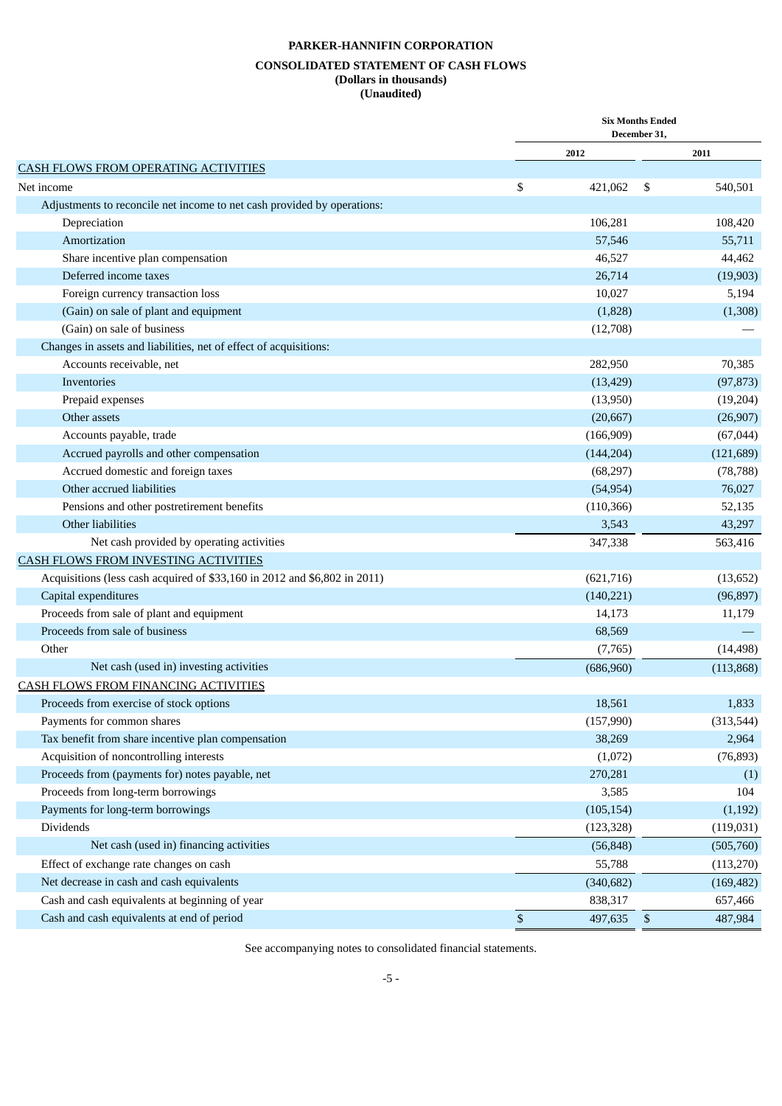#### **CONSOLIDATED STATEMENT OF CASH FLOWS (Dollars in thousands) (Unaudited)**

|                                                                           | <b>Six Months Ended</b><br>December 31, |                         |  |  |  |  |
|---------------------------------------------------------------------------|-----------------------------------------|-------------------------|--|--|--|--|
|                                                                           | 2012                                    | 2011                    |  |  |  |  |
| CASH FLOWS FROM OPERATING ACTIVITIES                                      |                                         |                         |  |  |  |  |
| Net income                                                                | \$<br>421,062                           | \$<br>540,501           |  |  |  |  |
| Adjustments to reconcile net income to net cash provided by operations:   |                                         |                         |  |  |  |  |
| Depreciation                                                              | 106,281                                 | 108,420                 |  |  |  |  |
| Amortization                                                              | 57,546                                  | 55,711                  |  |  |  |  |
| Share incentive plan compensation                                         | 46,527                                  | 44,462                  |  |  |  |  |
| Deferred income taxes                                                     | 26,714                                  | (19,903)                |  |  |  |  |
| Foreign currency transaction loss                                         | 10,027                                  | 5,194                   |  |  |  |  |
| (Gain) on sale of plant and equipment                                     | (1,828)                                 | (1,308)                 |  |  |  |  |
| (Gain) on sale of business                                                | (12,708)                                |                         |  |  |  |  |
| Changes in assets and liabilities, net of effect of acquisitions:         |                                         |                         |  |  |  |  |
| Accounts receivable, net                                                  | 282,950                                 | 70,385                  |  |  |  |  |
| Inventories                                                               | (13, 429)                               | (97, 873)               |  |  |  |  |
| Prepaid expenses                                                          | (13,950)                                | (19, 204)               |  |  |  |  |
| Other assets                                                              | (20, 667)                               | (26,907)                |  |  |  |  |
| Accounts payable, trade                                                   | (166,909)                               | (67, 044)               |  |  |  |  |
| Accrued payrolls and other compensation                                   | (144, 204)                              | (121, 689)              |  |  |  |  |
| Accrued domestic and foreign taxes                                        | (68, 297)                               | (78, 788)               |  |  |  |  |
| Other accrued liabilities                                                 | (54, 954)                               | 76,027                  |  |  |  |  |
| Pensions and other postretirement benefits                                | (110, 366)                              | 52,135                  |  |  |  |  |
| Other liabilities                                                         | 3,543                                   | 43,297                  |  |  |  |  |
| Net cash provided by operating activities                                 | 347,338                                 | 563,416                 |  |  |  |  |
| CASH FLOWS FROM INVESTING ACTIVITIES                                      |                                         |                         |  |  |  |  |
| Acquisitions (less cash acquired of \$33,160 in 2012 and \$6,802 in 2011) | (621, 716)                              | (13, 652)               |  |  |  |  |
| Capital expenditures                                                      | (140, 221)                              | (96, 897)               |  |  |  |  |
| Proceeds from sale of plant and equipment                                 | 14,173                                  | 11,179                  |  |  |  |  |
| Proceeds from sale of business                                            | 68,569                                  |                         |  |  |  |  |
| Other                                                                     | (7,765)                                 | (14, 498)               |  |  |  |  |
| Net cash (used in) investing activities                                   | (686,960)                               | (113, 868)              |  |  |  |  |
| CASH FLOWS FROM FINANCING ACTIVITIES                                      |                                         |                         |  |  |  |  |
| Proceeds from exercise of stock options                                   | 18,561                                  | 1,833                   |  |  |  |  |
| Payments for common shares                                                | (157,990)                               | (313, 544)              |  |  |  |  |
| Tax benefit from share incentive plan compensation                        | 38,269                                  | 2,964                   |  |  |  |  |
| Acquisition of noncontrolling interests                                   | (1,072)                                 | (76, 893)               |  |  |  |  |
| Proceeds from (payments for) notes payable, net                           | 270,281                                 | (1)                     |  |  |  |  |
| Proceeds from long-term borrowings                                        | 3,585                                   | 104                     |  |  |  |  |
| Payments for long-term borrowings                                         | (105, 154)                              | (1, 192)                |  |  |  |  |
| Dividends                                                                 | (123, 328)                              | (119, 031)              |  |  |  |  |
| Net cash (used in) financing activities                                   | (56, 848)                               | (505, 760)              |  |  |  |  |
| Effect of exchange rate changes on cash                                   | 55,788                                  | (113, 270)              |  |  |  |  |
| Net decrease in cash and cash equivalents                                 | (340, 682)                              | (169, 482)              |  |  |  |  |
| Cash and cash equivalents at beginning of year                            | 838,317                                 | 657,466                 |  |  |  |  |
| Cash and cash equivalents at end of period                                | \$<br>497,635                           | $\mathbb{S}$<br>487,984 |  |  |  |  |

See accompanying notes to consolidated financial statements.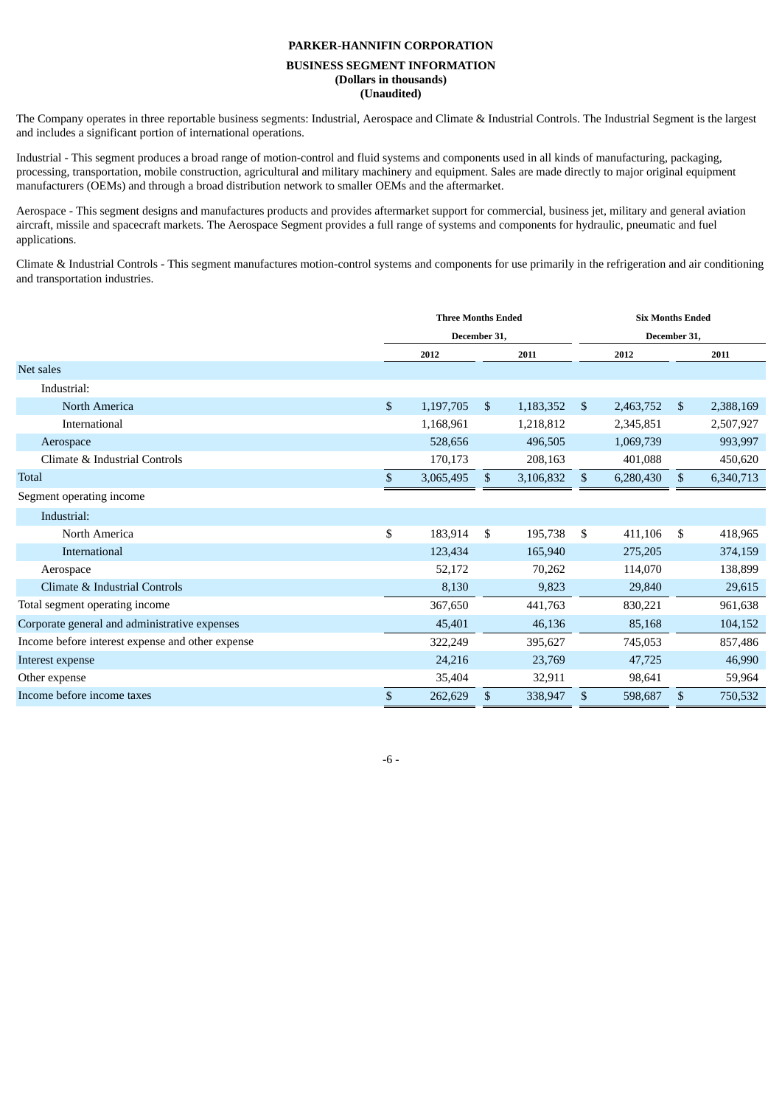#### **BUSINESS SEGMENT INFORMATION (Dollars in thousands) (Unaudited)**

The Company operates in three reportable business segments: Industrial, Aerospace and Climate & Industrial Controls. The Industrial Segment is the largest and includes a significant portion of international operations.

Industrial - This segment produces a broad range of motion-control and fluid systems and components used in all kinds of manufacturing, packaging, processing, transportation, mobile construction, agricultural and military machinery and equipment. Sales are made directly to major original equipment manufacturers (OEMs) and through a broad distribution network to smaller OEMs and the aftermarket.

Aerospace - This segment designs and manufactures products and provides aftermarket support for commercial, business jet, military and general aviation aircraft, missile and spacecraft markets. The Aerospace Segment provides a full range of systems and components for hydraulic, pneumatic and fuel applications.

Climate & Industrial Controls - This segment manufactures motion-control systems and components for use primarily in the refrigeration and air conditioning and transportation industries.

|                                                  | <b>Three Months Ended</b> |           |              |           |              | <b>Six Months Ended</b> |              |           |  |
|--------------------------------------------------|---------------------------|-----------|--------------|-----------|--------------|-------------------------|--------------|-----------|--|
|                                                  |                           |           | December 31, |           | December 31, |                         |              |           |  |
|                                                  | 2011<br>2012              |           |              |           | 2012         |                         | 2011         |           |  |
| Net sales                                        |                           |           |              |           |              |                         |              |           |  |
| Industrial:                                      |                           |           |              |           |              |                         |              |           |  |
| North America                                    | \$                        | 1,197,705 | \$           | 1,183,352 | $\mathbb{S}$ | 2,463,752               | $\mathbb{S}$ | 2,388,169 |  |
| International                                    |                           | 1,168,961 |              | 1,218,812 |              | 2,345,851               |              | 2,507,927 |  |
| Aerospace                                        |                           | 528,656   |              | 496,505   |              | 1,069,739               |              | 993,997   |  |
| Climate & Industrial Controls                    |                           | 170,173   |              | 208,163   |              | 401,088                 |              | 450,620   |  |
| <b>Total</b>                                     | \$                        | 3,065,495 | \$           | 3,106,832 | \$           | 6,280,430               | \$           | 6,340,713 |  |
| Segment operating income                         |                           |           |              |           |              |                         |              |           |  |
| Industrial:                                      |                           |           |              |           |              |                         |              |           |  |
| North America                                    | \$                        | 183,914   | \$           | 195,738   | \$           | 411,106                 | \$           | 418,965   |  |
| <b>International</b>                             |                           | 123,434   |              | 165,940   |              | 275,205                 |              | 374,159   |  |
| Aerospace                                        |                           | 52,172    |              | 70,262    |              | 114,070                 |              | 138.899   |  |
| Climate & Industrial Controls                    |                           | 8,130     |              | 9,823     |              | 29,840                  |              | 29,615    |  |
| Total segment operating income                   |                           | 367,650   |              | 441,763   |              | 830,221                 |              | 961,638   |  |
| Corporate general and administrative expenses    |                           | 45,401    |              | 46,136    |              | 85,168                  |              | 104,152   |  |
| Income before interest expense and other expense |                           | 322,249   |              | 395,627   |              | 745,053                 |              | 857,486   |  |
| Interest expense                                 |                           | 24,216    |              | 23,769    |              | 47,725                  |              | 46,990    |  |
| Other expense                                    |                           | 35,404    |              | 32,911    |              | 98,641                  |              | 59,964    |  |
| Income before income taxes                       | \$                        | 262,629   | \$           | 338,947   | \$           | 598,687                 | \$           | 750,532   |  |

-6 -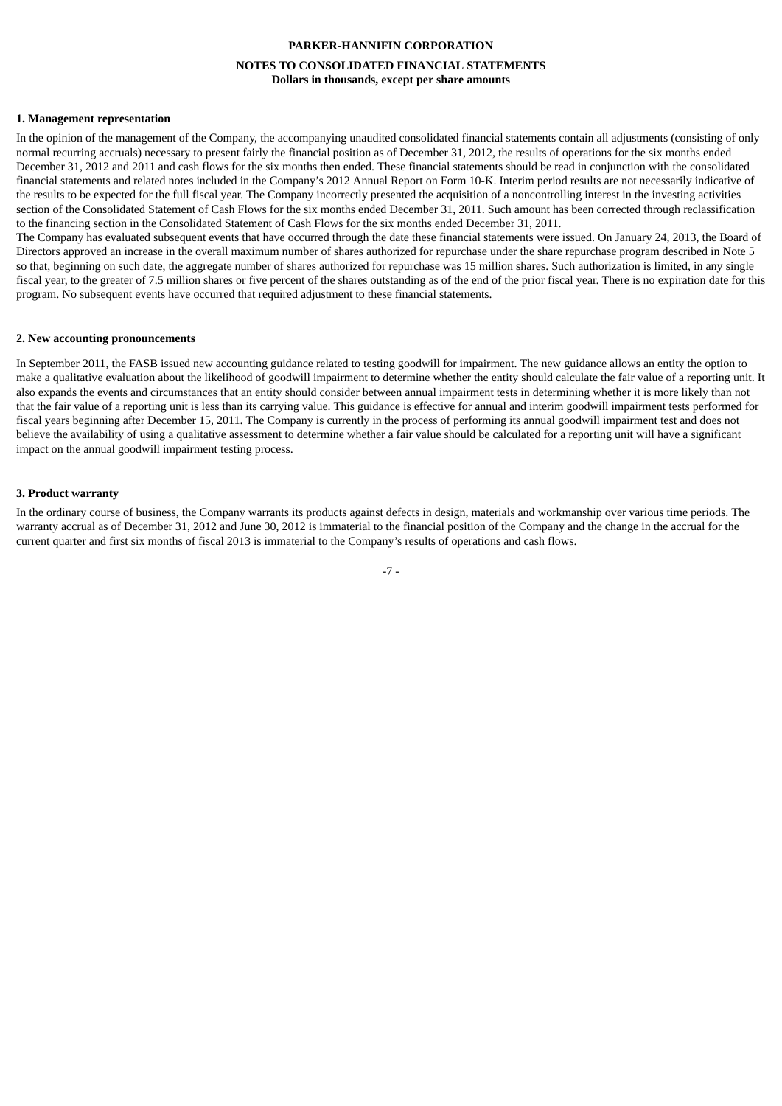## **PARKER-HANNIFIN CORPORATION NOTES TO CONSOLIDATED FINANCIAL STATEMENTS Dollars in thousands, except per share amounts**

#### **1. Management representation**

In the opinion of the management of the Company, the accompanying unaudited consolidated financial statements contain all adjustments (consisting of only normal recurring accruals) necessary to present fairly the financial position as of December 31, 2012, the results of operations for the six months ended December 31, 2012 and 2011 and cash flows for the six months then ended. These financial statements should be read in conjunction with the consolidated financial statements and related notes included in the Company's 2012 Annual Report on Form 10-K. Interim period results are not necessarily indicative of the results to be expected for the full fiscal year. The Company incorrectly presented the acquisition of a noncontrolling interest in the investing activities section of the Consolidated Statement of Cash Flows for the six months ended December 31, 2011. Such amount has been corrected through reclassification to the financing section in the Consolidated Statement of Cash Flows for the six months ended December 31, 2011.

The Company has evaluated subsequent events that have occurred through the date these financial statements were issued. On January 24, 2013, the Board of Directors approved an increase in the overall maximum number of shares authorized for repurchase under the share repurchase program described in Note 5 so that, beginning on such date, the aggregate number of shares authorized for repurchase was 15 million shares. Such authorization is limited, in any single fiscal year, to the greater of 7.5 million shares or five percent of the shares outstanding as of the end of the prior fiscal year. There is no expiration date for this program. No subsequent events have occurred that required adjustment to these financial statements.

#### **2. New accounting pronouncements**

In September 2011, the FASB issued new accounting guidance related to testing goodwill for impairment. The new guidance allows an entity the option to make a qualitative evaluation about the likelihood of goodwill impairment to determine whether the entity should calculate the fair value of a reporting unit. It also expands the events and circumstances that an entity should consider between annual impairment tests in determining whether it is more likely than not that the fair value of a reporting unit is less than its carrying value. This guidance is effective for annual and interim goodwill impairment tests performed for fiscal years beginning after December 15, 2011. The Company is currently in the process of performing its annual goodwill impairment test and does not believe the availability of using a qualitative assessment to determine whether a fair value should be calculated for a reporting unit will have a significant impact on the annual goodwill impairment testing process.

#### **3. Product warranty**

In the ordinary course of business, the Company warrants its products against defects in design, materials and workmanship over various time periods. The warranty accrual as of December 31, 2012 and June 30, 2012 is immaterial to the financial position of the Company and the change in the accrual for the current quarter and first six months of fiscal 2013 is immaterial to the Company's results of operations and cash flows.

-7 -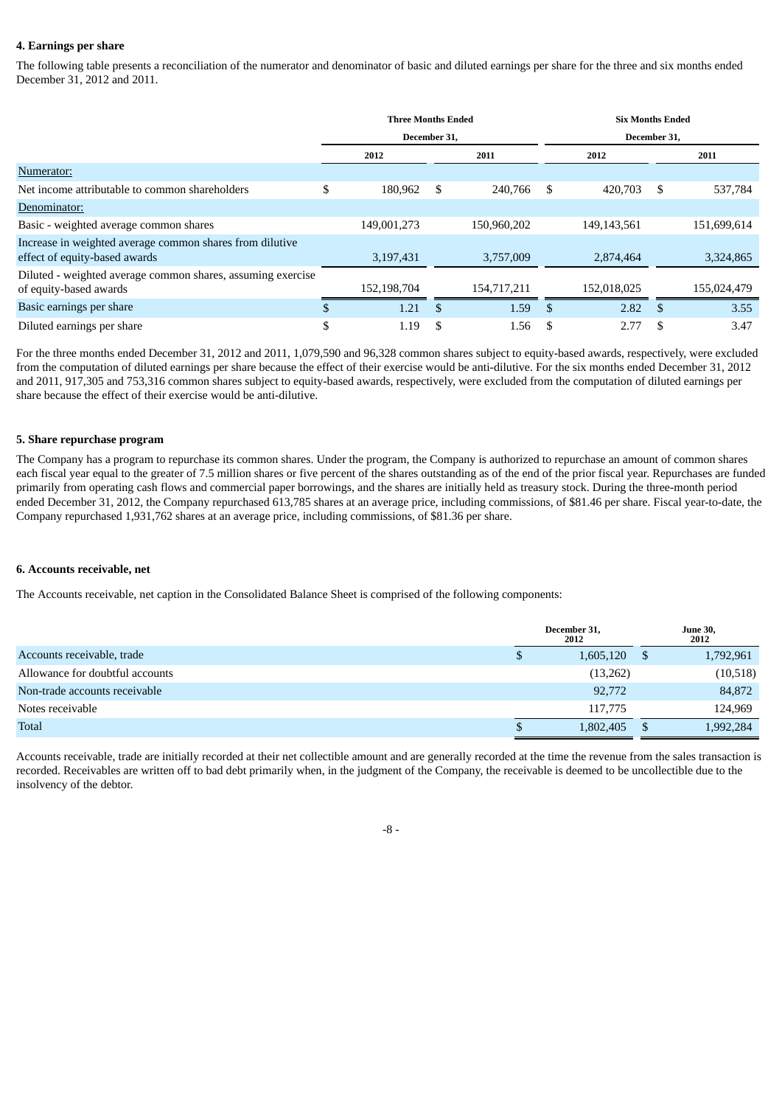#### **4. Earnings per share**

The following table presents a reconciliation of the numerator and denominator of basic and diluted earnings per share for the three and six months ended December 31, 2012 and 2011.

|                                                                                           | <b>Three Months Ended</b> |              |             |      | <b>Six Months Ended</b> |              |             |  |
|-------------------------------------------------------------------------------------------|---------------------------|--------------|-------------|------|-------------------------|--------------|-------------|--|
|                                                                                           | December 31,              |              |             |      |                         | December 31, |             |  |
|                                                                                           | 2012                      |              | 2011        |      | 2012                    |              | 2011        |  |
| Numerator:                                                                                |                           |              |             |      |                         |              |             |  |
| Net income attributable to common shareholders                                            | \$<br>180,962             | S.           | 240,766     | - \$ | 420.703                 | \$.          | 537,784     |  |
| Denominator:                                                                              |                           |              |             |      |                         |              |             |  |
| Basic - weighted average common shares                                                    | 149,001,273               |              | 150,960,202 |      | 149,143,561             |              | 151,699,614 |  |
| Increase in weighted average common shares from dilutive<br>effect of equity-based awards | 3,197,431                 |              | 3,757,009   |      | 2,874,464               |              | 3,324,865   |  |
| Diluted - weighted average common shares, assuming exercise<br>of equity-based awards     | 152,198,704               |              | 154,717,211 |      | 152,018,025             |              | 155,024,479 |  |
| Basic earnings per share                                                                  | 1.21                      | $\mathbb{S}$ | 1.59        | -\$  | 2.82                    | -\$          | 3.55        |  |
| Diluted earnings per share                                                                | \$<br>1.19                |              | 1.56        | S    | 2.77                    |              | 3.47        |  |

For the three months ended December 31, 2012 and 2011, 1,079,590 and 96,328 common shares subject to equity-based awards, respectively, were excluded from the computation of diluted earnings per share because the effect of their exercise would be anti-dilutive. For the six months ended December 31, 2012 and 2011, 917,305 and 753,316 common shares subject to equity-based awards, respectively, were excluded from the computation of diluted earnings per share because the effect of their exercise would be anti-dilutive.

#### **5. Share repurchase program**

The Company has a program to repurchase its common shares. Under the program, the Company is authorized to repurchase an amount of common shares each fiscal year equal to the greater of 7.5 million shares or five percent of the shares outstanding as of the end of the prior fiscal year. Repurchases are funded primarily from operating cash flows and commercial paper borrowings, and the shares are initially held as treasury stock. During the three-month period ended December 31, 2012, the Company repurchased 613,785 shares at an average price, including commissions, of \$81.46 per share. Fiscal year-to-date, the Company repurchased 1,931,762 shares at an average price, including commissions, of \$81.36 per share.

#### **6. Accounts receivable, net**

The Accounts receivable, net caption in the Consolidated Balance Sheet is comprised of the following components:

|                                 | December 31,<br>2012 |   | <b>June 30,</b><br>2012 |
|---------------------------------|----------------------|---|-------------------------|
| Accounts receivable, trade      | 1,605,120            | S | 1,792,961               |
| Allowance for doubtful accounts | (13,262)             |   | (10,518)                |
| Non-trade accounts receivable   | 92,772               |   | 84,872                  |
| Notes receivable                | 117,775              |   | 124,969                 |
| Total                           | 1,802,405            |   | 1,992,284               |

Accounts receivable, trade are initially recorded at their net collectible amount and are generally recorded at the time the revenue from the sales transaction is recorded. Receivables are written off to bad debt primarily when, in the judgment of the Company, the receivable is deemed to be uncollectible due to the insolvency of the debtor.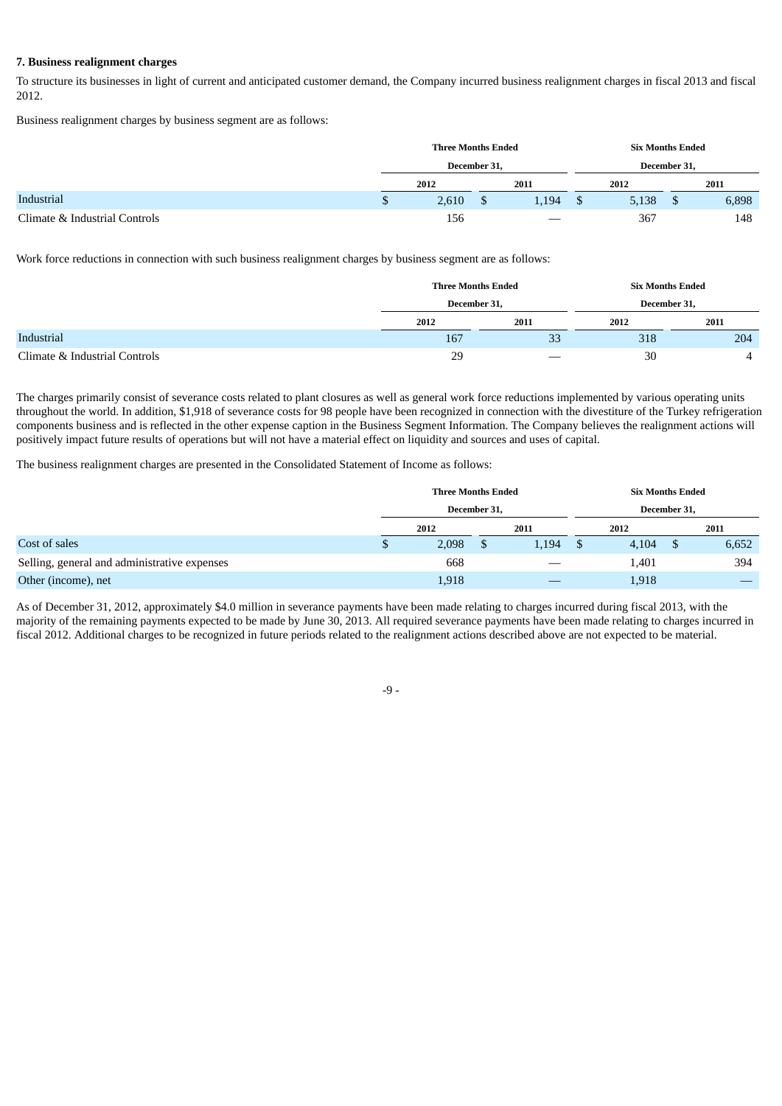#### **7. Business realignment charges**

To structure its businesses in light of current and anticipated customer demand, the Company incurred business realignment charges in fiscal 2013 and fiscal 2012.

Business realignment charges by business segment are as follows:

|                               | <b>Three Months Ended</b> |              |  |                   |              | <b>Six Months Ended</b> |   |       |  |
|-------------------------------|---------------------------|--------------|--|-------------------|--------------|-------------------------|---|-------|--|
|                               | December 31,              |              |  |                   | December 31, |                         |   |       |  |
|                               |                           | 2012<br>2011 |  |                   | 2012         | 2011                    |   |       |  |
| Industrial                    |                           | 2,610        |  | 1,194             | 5,138        |                         | D | 6,898 |  |
| Climate & Industrial Controls |                           | 156          |  | $\hspace{0.05cm}$ |              | 367                     |   | 148   |  |

Work force reductions in connection with such business realignment charges by business segment are as follows:

|                               | <b>Three Months Ended</b> |                               | <b>Six Months Ended</b> |      |  |
|-------------------------------|---------------------------|-------------------------------|-------------------------|------|--|
|                               | December 31,              |                               | December 31,            |      |  |
|                               | 2011<br>2012              |                               | 2012                    | 2011 |  |
| Industrial                    | 167                       | 33                            | 318                     | 204  |  |
| Climate & Industrial Controls | 29                        | $\overbrace{\phantom{12333}}$ | 30                      | 4    |  |

The charges primarily consist of severance costs related to plant closures as well as general work force reductions implemented by various operating units throughout the world. In addition, \$1,918 of severance costs for 98 people have been recognized in connection with the divestiture of the Turkey refrigeration components business and is reflected in the other expense caption in the Business Segment Information. The Company believes the realignment actions will positively impact future results of operations but will not have a material effect on liquidity and sources and uses of capital.

The business realignment charges are presented in the Consolidated Statement of Income as follows:

|                                              | <b>Three Months Ended</b> |              |  |       |              | <b>Six Months Ended</b> |      |       |  |  |
|----------------------------------------------|---------------------------|--------------|--|-------|--------------|-------------------------|------|-------|--|--|
|                                              |                           | December 31, |  |       | December 31, |                         |      |       |  |  |
|                                              |                           | 2012         |  | 2011  |              | 2012                    | 2011 |       |  |  |
| Cost of sales                                |                           | 2,098        |  | 1,194 |              | 4,104                   | - \$ | 6,652 |  |  |
| Selling, general and administrative expenses |                           | 668          |  |       |              | 1,401                   |      | 394   |  |  |
| Other (income), net                          |                           | 1,918        |  |       |              | 1,918                   |      |       |  |  |

As of December 31, 2012, approximately \$4.0 million in severance payments have been made relating to charges incurred during fiscal 2013, with the majority of the remaining payments expected to be made by June 30, 2013. All required severance payments have been made relating to charges incurred in fiscal 2012. Additional charges to be recognized in future periods related to the realignment actions described above are not expected to be material.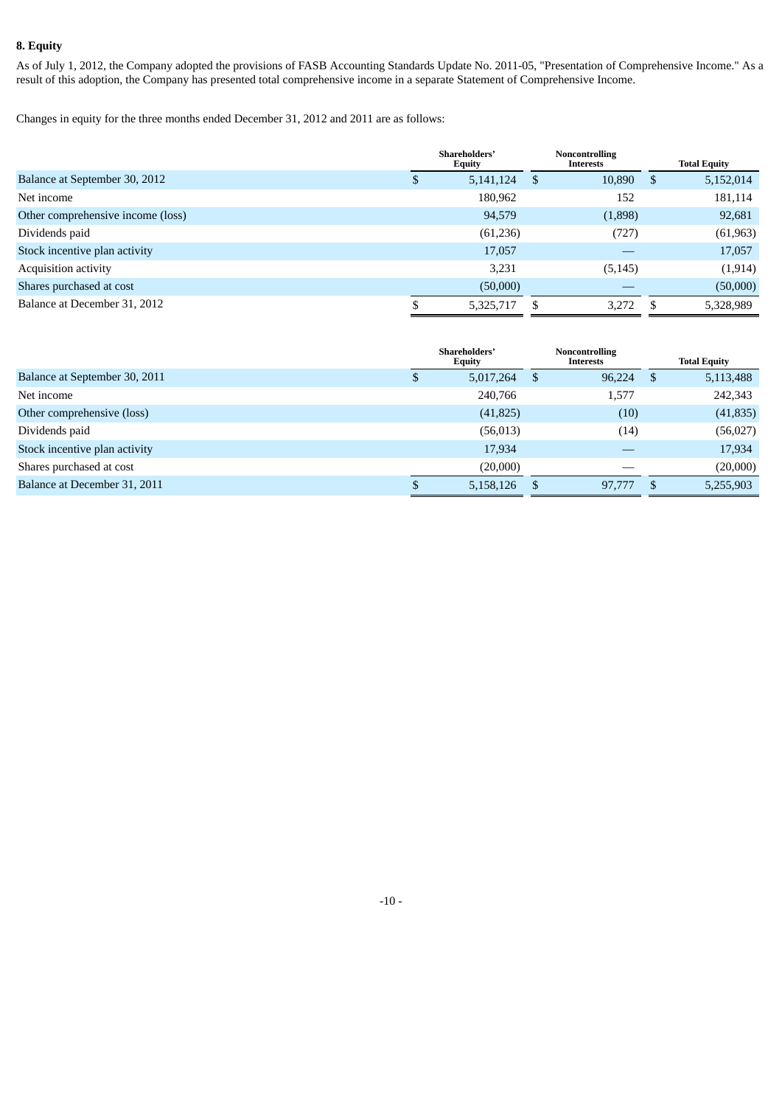## **8. Equity**

As of July 1, 2012, the Company adopted the provisions of FASB Accounting Standards Update No. 2011-05, "Presentation of Comprehensive Income." As a result of this adoption, the Company has presented total comprehensive income in a separate Statement of Comprehensive Income.

Changes in equity for the three months ended December 31, 2012 and 2011 are as follows:

|                                   |    | Shareholders'<br><b>Equity</b> |    | Noncontrolling<br><b>Interests</b> |   | <b>Total Equity</b> |
|-----------------------------------|----|--------------------------------|----|------------------------------------|---|---------------------|
| Balance at September 30, 2012     | y. | 5,141,124                      | -S | 10,890                             | S | 5,152,014           |
| Net income                        |    | 180,962                        |    | 152                                |   | 181,114             |
| Other comprehensive income (loss) |    | 94,579                         |    | (1,898)                            |   | 92,681              |
| Dividends paid                    |    | (61,236)                       |    | (727)                              |   | (61, 963)           |
| Stock incentive plan activity     |    | 17,057                         |    |                                    |   | 17,057              |
| <b>Acquisition activity</b>       |    | 3,231                          |    | (5, 145)                           |   | (1, 914)            |
| Shares purchased at cost          |    | (50,000)                       |    |                                    |   | (50,000)            |
| Balance at December 31, 2012      | S  | 5,325,717                      | S  | 3,272                              |   | 5,328,989           |

|                               |   | Shareholders'<br><b>Equity</b> |    | Noncontrolling<br>Interests |     | <b>Total Equity</b> |
|-------------------------------|---|--------------------------------|----|-----------------------------|-----|---------------------|
| Balance at September 30, 2011 | S | 5,017,264                      | S. | 96,224                      | -S  | 5,113,488           |
| Net income                    |   | 240,766                        |    | 1,577                       |     | 242,343             |
| Other comprehensive (loss)    |   | (41, 825)                      |    | (10)                        |     | (41, 835)           |
| Dividends paid                |   | (56, 013)                      |    | (14)                        |     | (56,027)            |
| Stock incentive plan activity |   | 17,934                         |    |                             |     | 17,934              |
| Shares purchased at cost      |   | (20,000)                       |    |                             |     | (20,000)            |
| Balance at December 31, 2011  | S | 5,158,126                      | -S | 97,777                      | - S | 5,255,903           |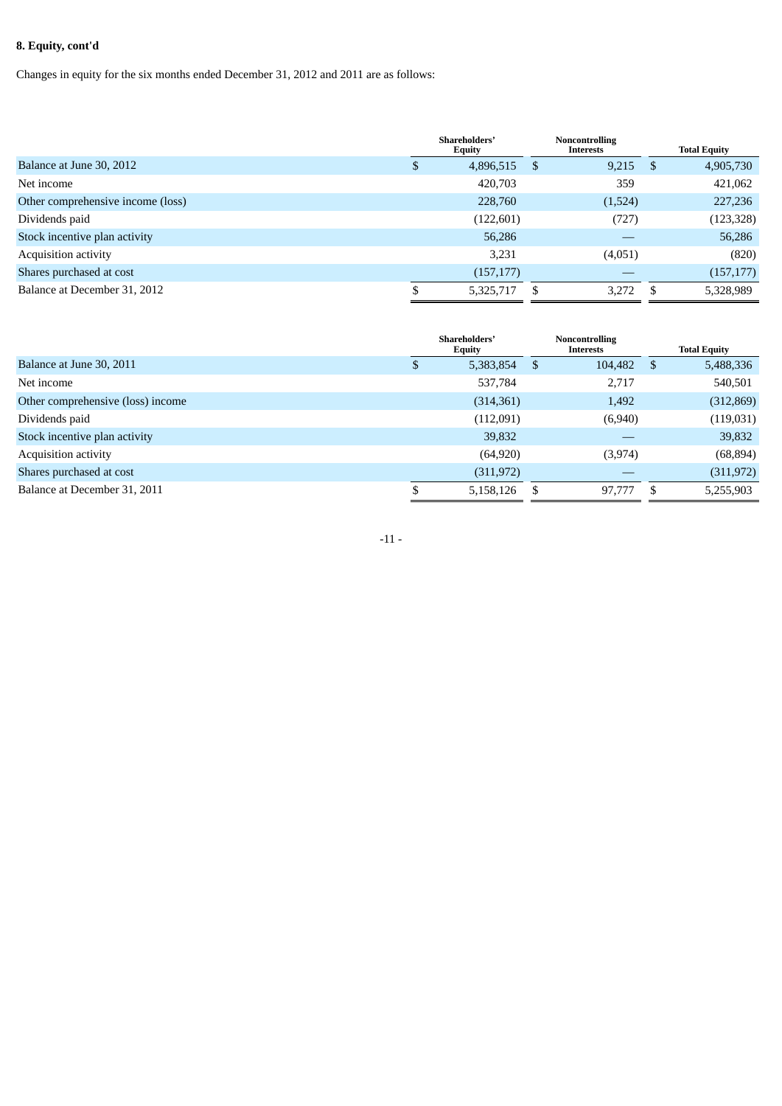## **8. Equity, cont'd**

Changes in equity for the six months ended December 31, 2012 and 2011 are as follows:

|                                   |   | Shareholders'<br><b>Equity</b> |   | Noncontrolling<br><b>Interests</b> |      | <b>Total Equity</b> |
|-----------------------------------|---|--------------------------------|---|------------------------------------|------|---------------------|
| Balance at June 30, 2012          | D | 4,896,515                      | S | 9,215                              | - \$ | 4,905,730           |
| Net income                        |   | 420,703                        |   | 359                                |      | 421,062             |
| Other comprehensive income (loss) |   | 228,760                        |   | (1,524)                            |      | 227,236             |
| Dividends paid                    |   | (122, 601)                     |   | (727)                              |      | (123, 328)          |
| Stock incentive plan activity     |   | 56,286                         |   |                                    |      | 56,286              |
| <b>Acquisition activity</b>       |   | 3,231                          |   | (4,051)                            |      | (820)               |
| Shares purchased at cost          |   | (157, 177)                     |   |                                    |      | (157, 177)          |
| Balance at December 31, 2012      |   | 5,325,717                      | S | 3,272                              |      | 5,328,989           |

|                                   |   | Shareholders'<br><b>Equity</b> |               | Noncontrolling<br><b>Interests</b> |      | <b>Total Equity</b> |
|-----------------------------------|---|--------------------------------|---------------|------------------------------------|------|---------------------|
| Balance at June 30, 2011          | Ф | 5,383,854                      | <sup>\$</sup> | 104,482                            | - \$ | 5,488,336           |
| Net income                        |   | 537,784                        |               | 2,717                              |      | 540,501             |
| Other comprehensive (loss) income |   | (314, 361)                     |               | 1,492                              |      | (312, 869)          |
| Dividends paid                    |   | (112,091)                      |               | (6,940)                            |      | (119, 031)          |
| Stock incentive plan activity     |   | 39,832                         |               |                                    |      | 39,832              |
| <b>Acquisition activity</b>       |   | (64, 920)                      |               | (3,974)                            |      | (68, 894)           |
| Shares purchased at cost          |   | (311, 972)                     |               |                                    |      | (311, 972)          |
| Balance at December 31, 2011      |   | 5,158,126                      |               | 97,777                             | -S   | 5,255,903           |

$$
-11-
$$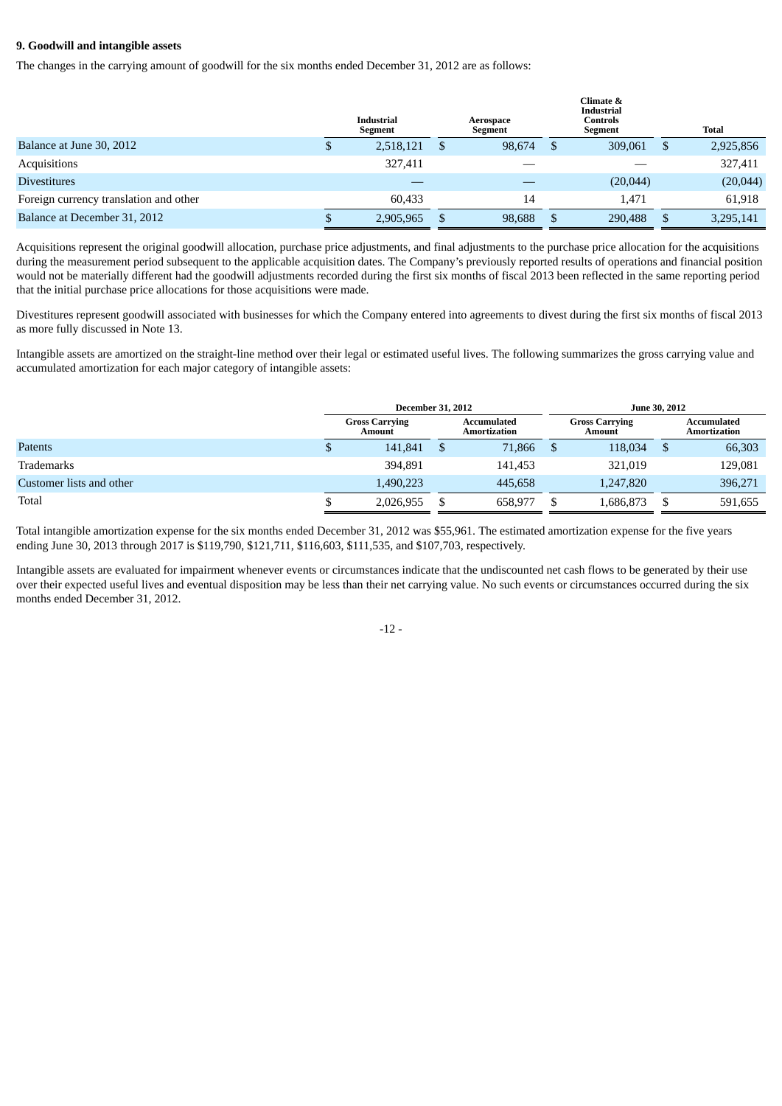#### **9. Goodwill and intangible assets**

The changes in the carrying amount of goodwill for the six months ended December 31, 2012 are as follows:

|                                        | <b>Industrial</b><br>Segment | Aerospace<br>Segment | Climate &<br><b>Industrial</b><br>Controls<br>Segment |   | Total     |
|----------------------------------------|------------------------------|----------------------|-------------------------------------------------------|---|-----------|
| Balance at June 30, 2012               | 2,518,121                    | 98,674               | 309,061                                               | S | 2,925,856 |
| Acquisitions                           | 327,411                      |                      |                                                       |   | 327,411   |
| <b>Divestitures</b>                    |                              |                      | (20, 044)                                             |   | (20, 044) |
| Foreign currency translation and other | 60.433                       | 14                   | 1.471                                                 |   | 61,918    |
| Balance at December 31, 2012           | 2,905,965                    | 98,688               | 290,488                                               |   | 3,295,141 |

Acquisitions represent the original goodwill allocation, purchase price adjustments, and final adjustments to the purchase price allocation for the acquisitions during the measurement period subsequent to the applicable acquisition dates. The Company's previously reported results of operations and financial position would not be materially different had the goodwill adjustments recorded during the first six months of fiscal 2013 been reflected in the same reporting period that the initial purchase price allocations for those acquisitions were made.

Divestitures represent goodwill associated with businesses for which the Company entered into agreements to divest during the first six months of fiscal 2013 as more fully discussed in Note 13.

Intangible assets are amortized on the straight-line method over their legal or estimated useful lives. The following summarizes the gross carrying value and accumulated amortization for each major category of intangible assets:

|                          | <b>December 31, 2012</b> |                                 |  |                             |  | June 30, 2012                   |  |                                    |  |
|--------------------------|--------------------------|---------------------------------|--|-----------------------------|--|---------------------------------|--|------------------------------------|--|
|                          |                          | <b>Gross Carrying</b><br>Amount |  | Accumulated<br>Amortization |  | <b>Gross Carrying</b><br>Amount |  | Accumulated<br><b>Amortization</b> |  |
| Patents                  |                          | 141,841                         |  | 71,866                      |  | 118,034                         |  | 66,303                             |  |
| Trademarks               |                          | 394,891                         |  | 141,453                     |  | 321,019                         |  | 129,081                            |  |
| Customer lists and other |                          | 1,490,223                       |  | 445,658                     |  | 1,247,820                       |  | 396,271                            |  |
| Total                    |                          | 2,026,955                       |  | 658.977                     |  | 1,686,873                       |  | 591,655                            |  |

Total intangible amortization expense for the six months ended December 31, 2012 was \$55,961. The estimated amortization expense for the five years ending June 30, 2013 through 2017 is \$119,790, \$121,711, \$116,603, \$111,535, and \$107,703, respectively.

Intangible assets are evaluated for impairment whenever events or circumstances indicate that the undiscounted net cash flows to be generated by their use over their expected useful lives and eventual disposition may be less than their net carrying value. No such events or circumstances occurred during the six months ended December 31, 2012.

-12 -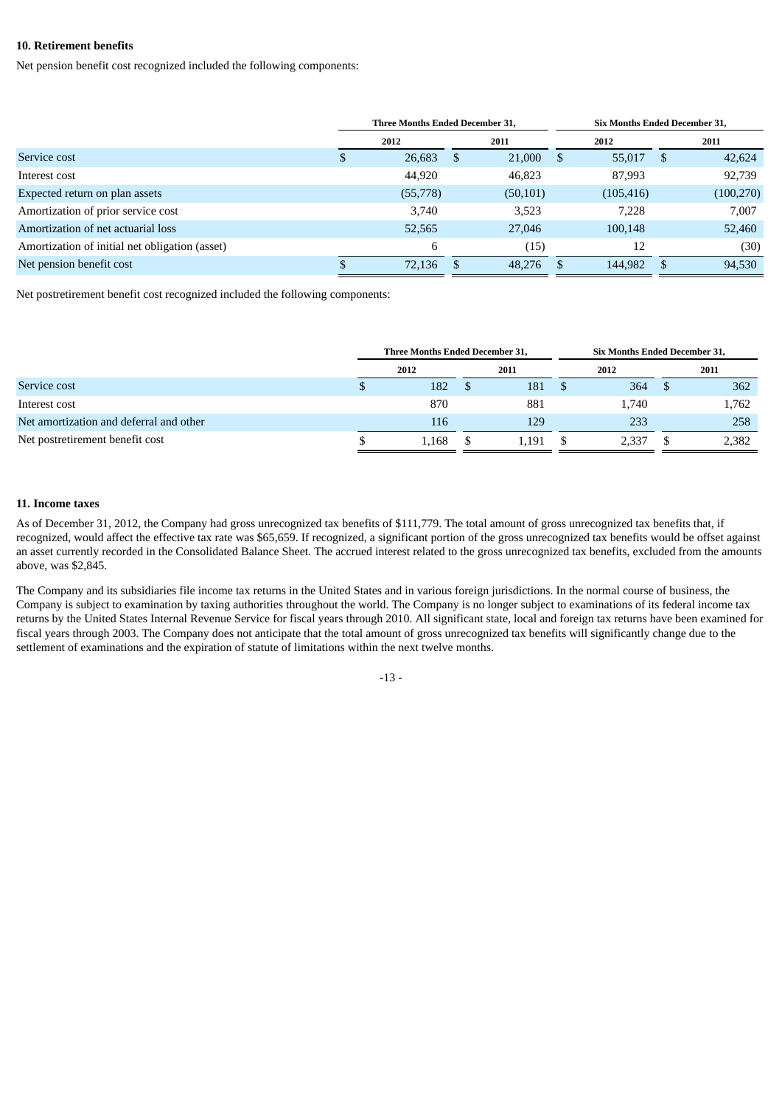#### **10. Retirement benefits**

Net pension benefit cost recognized included the following components:

|                                                | <b>Three Months Ended December 31,</b> |           |    |           |   | <b>Six Months Ended December 31,</b> |      |            |  |
|------------------------------------------------|----------------------------------------|-----------|----|-----------|---|--------------------------------------|------|------------|--|
|                                                | 2012                                   |           |    | 2011      |   | 2012                                 |      | 2011       |  |
| Service cost                                   | S,                                     | 26,683    | -S | 21,000    | S | 55,017                               | - \$ | 42,624     |  |
| Interest cost                                  |                                        | 44,920    |    | 46,823    |   | 87,993                               |      | 92,739     |  |
| Expected return on plan assets                 |                                        | (55, 778) |    | (50, 101) |   | (105, 416)                           |      | (100, 270) |  |
| Amortization of prior service cost             |                                        | 3.740     |    | 3,523     |   | 7.228                                |      | 7,007      |  |
| Amortization of net actuarial loss             |                                        | 52,565    |    | 27,046    |   | 100,148                              |      | 52,460     |  |
| Amortization of initial net obligation (asset) |                                        | 6         |    | (15)      |   | 12                                   |      | (30)       |  |
| Net pension benefit cost                       |                                        | 72.136    |    | 48,276    |   | 144,982                              |      | 94,530     |  |

Net postretirement benefit cost recognized included the following components:

|                                         | Three Months Ended December 31, |       |  |       |  | <b>Six Months Ended December 31,</b> |  |       |  |
|-----------------------------------------|---------------------------------|-------|--|-------|--|--------------------------------------|--|-------|--|
|                                         |                                 | 2012  |  | 2011  |  | 2012                                 |  | 2011  |  |
| Service cost                            |                                 | 182   |  | 181   |  | 364                                  |  | 362   |  |
| Interest cost                           |                                 | 870   |  | 881   |  | 1,740                                |  | 1,762 |  |
| Net amortization and deferral and other |                                 | 116   |  | 129   |  | 233                                  |  | 258   |  |
| Net postretirement benefit cost         |                                 | 1.168 |  | 1.191 |  | 2,337                                |  | 2,382 |  |

#### **11. Income taxes**

As of December 31, 2012, the Company had gross unrecognized tax benefits of \$111,779. The total amount of gross unrecognized tax benefits that, if recognized, would affect the effective tax rate was \$65,659. If recognized, a significant portion of the gross unrecognized tax benefits would be offset against an asset currently recorded in the Consolidated Balance Sheet. The accrued interest related to the gross unrecognized tax benefits, excluded from the amounts above, was \$2,845.

The Company and its subsidiaries file income tax returns in the United States and in various foreign jurisdictions. In the normal course of business, the Company is subject to examination by taxing authorities throughout the world. The Company is no longer subject to examinations of its federal income tax returns by the United States Internal Revenue Service for fiscal years through 2010. All significant state, local and foreign tax returns have been examined for fiscal years through 2003. The Company does not anticipate that the total amount of gross unrecognized tax benefits will significantly change due to the settlement of examinations and the expiration of statute of limitations within the next twelve months.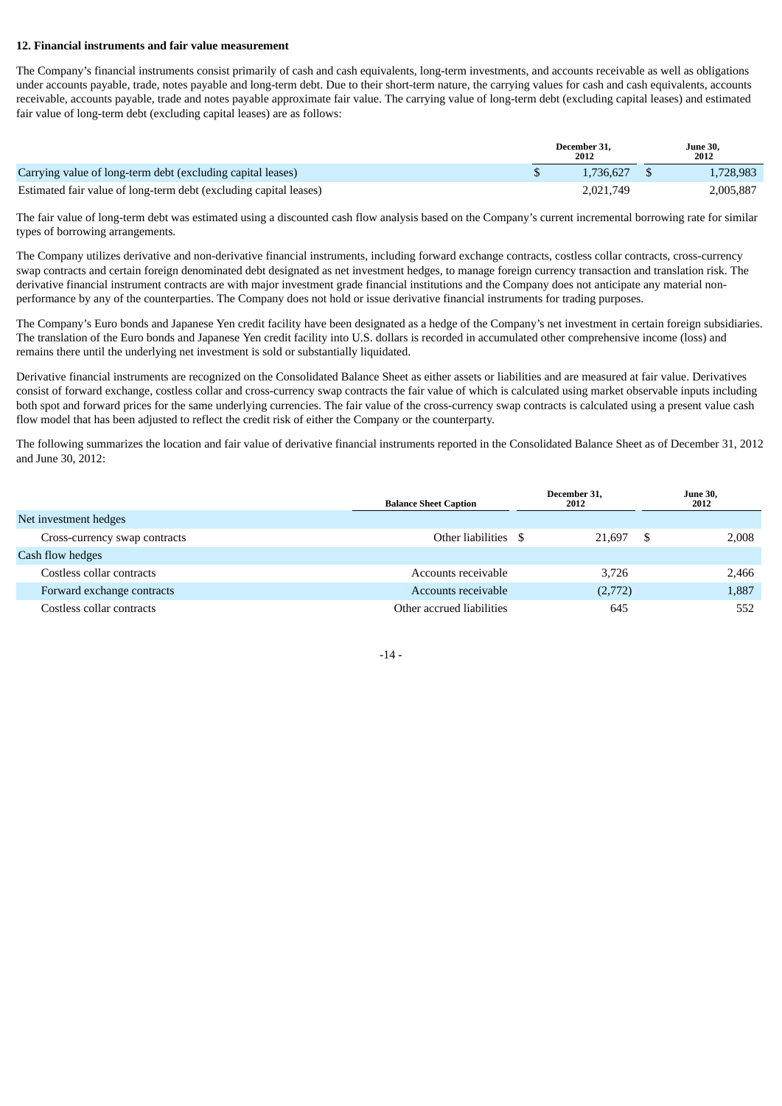#### **12. Financial instruments and fair value measurement**

The Company's financial instruments consist primarily of cash and cash equivalents, long-term investments, and accounts receivable as well as obligations under accounts payable, trade, notes payable and long-term debt. Due to their short-term nature, the carrying values for cash and cash equivalents, accounts receivable, accounts payable, trade and notes payable approximate fair value. The carrying value of long-term debt (excluding capital leases) and estimated fair value of long-term debt (excluding capital leases) are as follows:

|                                                                   | December 31.<br>2012 | <b>June 30,</b><br>2012 |
|-------------------------------------------------------------------|----------------------|-------------------------|
| Carrying value of long-term debt (excluding capital leases)       | 1.736.627            | 1,728,983               |
| Estimated fair value of long-term debt (excluding capital leases) | 2,021,749            | 2,005,887               |

The fair value of long-term debt was estimated using a discounted cash flow analysis based on the Company's current incremental borrowing rate for similar types of borrowing arrangements.

The Company utilizes derivative and non-derivative financial instruments, including forward exchange contracts, costless collar contracts, cross-currency swap contracts and certain foreign denominated debt designated as net investment hedges, to manage foreign currency transaction and translation risk. The derivative financial instrument contracts are with major investment grade financial institutions and the Company does not anticipate any material nonperformance by any of the counterparties. The Company does not hold or issue derivative financial instruments for trading purposes.

The Company's Euro bonds and Japanese Yen credit facility have been designated as a hedge of the Company's net investment in certain foreign subsidiaries. The translation of the Euro bonds and Japanese Yen credit facility into U.S. dollars is recorded in accumulated other comprehensive income (loss) and remains there until the underlying net investment is sold or substantially liquidated.

Derivative financial instruments are recognized on the Consolidated Balance Sheet as either assets or liabilities and are measured at fair value. Derivatives consist of forward exchange, costless collar and cross-currency swap contracts the fair value of which is calculated using market observable inputs including both spot and forward prices for the same underlying currencies. The fair value of the cross-currency swap contracts is calculated using a present value cash flow model that has been adjusted to reflect the credit risk of either the Company or the counterparty.

The following summarizes the location and fair value of derivative financial instruments reported in the Consolidated Balance Sheet as of December 31, 2012 and June 30, 2012:

|                               | <b>Balance Sheet Caption</b> | December 31,<br>2012 |     | June 30,<br>2012 |
|-------------------------------|------------------------------|----------------------|-----|------------------|
| Net investment hedges         |                              |                      |     |                  |
| Cross-currency swap contracts | Other liabilities \$         | 21.697               | -\$ | 2,008            |
| Cash flow hedges              |                              |                      |     |                  |
| Costless collar contracts     | Accounts receivable          | 3,726                |     | 2,466            |
| Forward exchange contracts    | Accounts receivable          | (2,772)              |     | 1,887            |
| Costless collar contracts     | Other accrued liabilities    | 645                  |     | 552              |

-14 -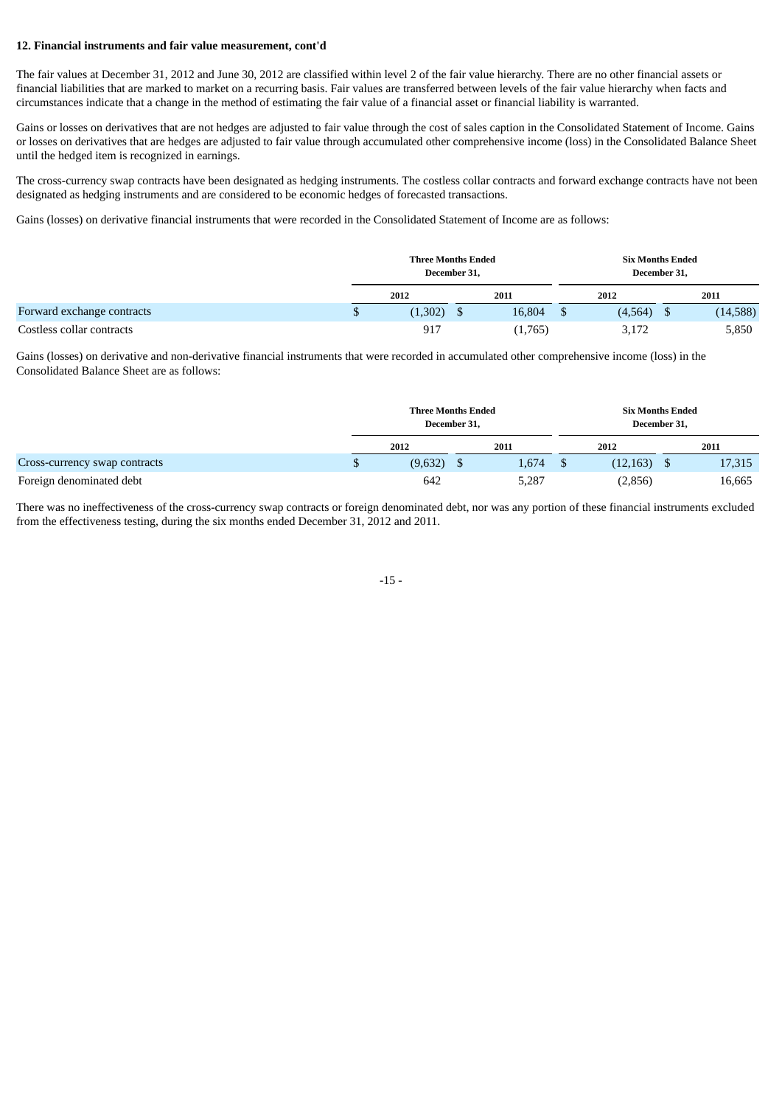#### **12. Financial instruments and fair value measurement, cont'd**

The fair values at December 31, 2012 and June 30, 2012 are classified within level 2 of the fair value hierarchy. There are no other financial assets or financial liabilities that are marked to market on a recurring basis. Fair values are transferred between levels of the fair value hierarchy when facts and circumstances indicate that a change in the method of estimating the fair value of a financial asset or financial liability is warranted.

Gains or losses on derivatives that are not hedges are adjusted to fair value through the cost of sales caption in the Consolidated Statement of Income. Gains or losses on derivatives that are hedges are adjusted to fair value through accumulated other comprehensive income (loss) in the Consolidated Balance Sheet until the hedged item is recognized in earnings.

The cross-currency swap contracts have been designated as hedging instruments. The costless collar contracts and forward exchange contracts have not been designated as hedging instruments and are considered to be economic hedges of forecasted transactions.

Gains (losses) on derivative financial instruments that were recorded in the Consolidated Statement of Income are as follows:

|                            | <b>Three Months Ended</b><br>December 31, |         | <b>Six Months Ended</b><br>December 31, |          |
|----------------------------|-------------------------------------------|---------|-----------------------------------------|----------|
|                            | 2012                                      | 2011    | 2012                                    | 2011     |
| Forward exchange contracts | \$<br>(1,302)                             | 16,804  | (4,564)                                 | (14,588) |
| Costless collar contracts  | 917                                       | (1,765) | 3,172                                   | 5,850    |

Gains (losses) on derivative and non-derivative financial instruments that were recorded in accumulated other comprehensive income (loss) in the Consolidated Balance Sheet are as follows:

|                               | <b>Three Months Ended</b> | December 31, |       | <b>Six Months Ended</b><br>December 31, |        |
|-------------------------------|---------------------------|--------------|-------|-----------------------------------------|--------|
|                               | 2012                      |              | 2011  | 2012                                    | 2011   |
| Cross-currency swap contracts | \$<br>(9,632)             |              | 1,674 | (12, 163)                               | 17,315 |
| Foreign denominated debt      | 642                       |              | 5,287 | (2,856)                                 | 16,665 |

There was no ineffectiveness of the cross-currency swap contracts or foreign denominated debt, nor was any portion of these financial instruments excluded from the effectiveness testing, during the six months ended December 31, 2012 and 2011.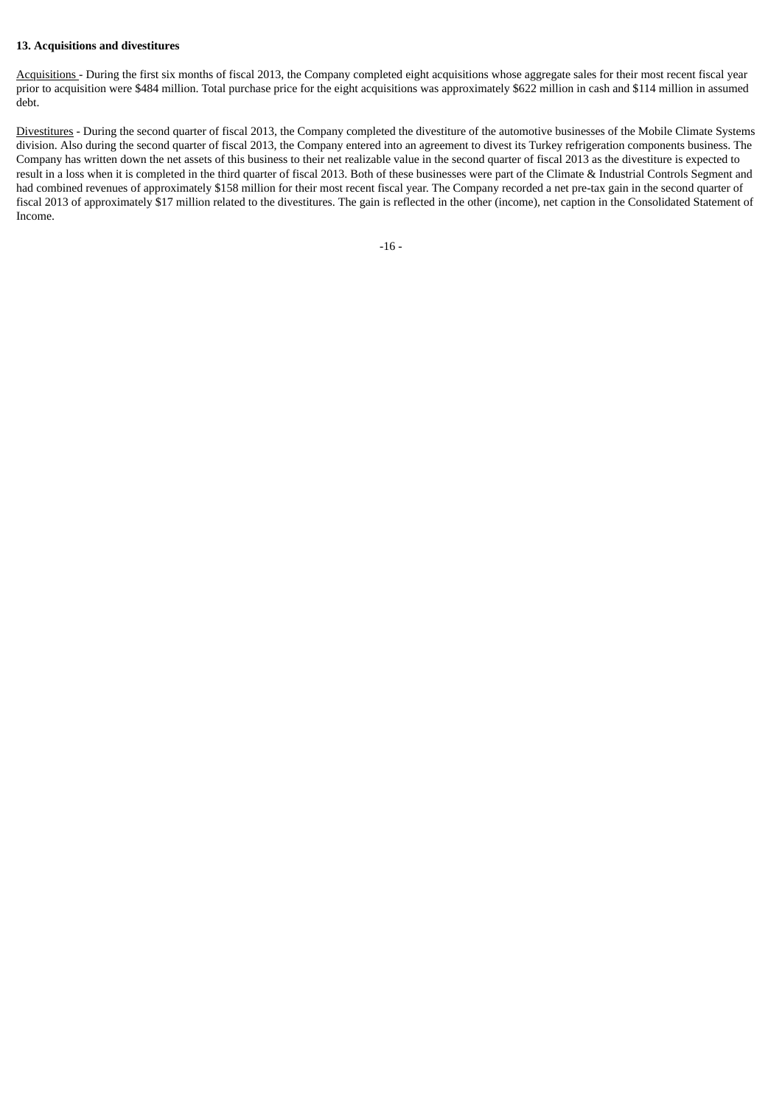#### **13. Acquisitions and divestitures**

Acquisitions - During the first six months of fiscal 2013, the Company completed eight acquisitions whose aggregate sales for their most recent fiscal year prior to acquisition were \$484 million. Total purchase price for the eight acquisitions was approximately \$622 million in cash and \$114 million in assumed debt.

Divestitures - During the second quarter of fiscal 2013, the Company completed the divestiture of the automotive businesses of the Mobile Climate Systems division. Also during the second quarter of fiscal 2013, the Company entered into an agreement to divest its Turkey refrigeration components business. The Company has written down the net assets of this business to their net realizable value in the second quarter of fiscal 2013 as the divestiture is expected to result in a loss when it is completed in the third quarter of fiscal 2013. Both of these businesses were part of the Climate & Industrial Controls Segment and had combined revenues of approximately \$158 million for their most recent fiscal year. The Company recorded a net pre-tax gain in the second quarter of fiscal 2013 of approximately \$17 million related to the divestitures. The gain is reflected in the other (income), net caption in the Consolidated Statement of Income.

 $-16 -$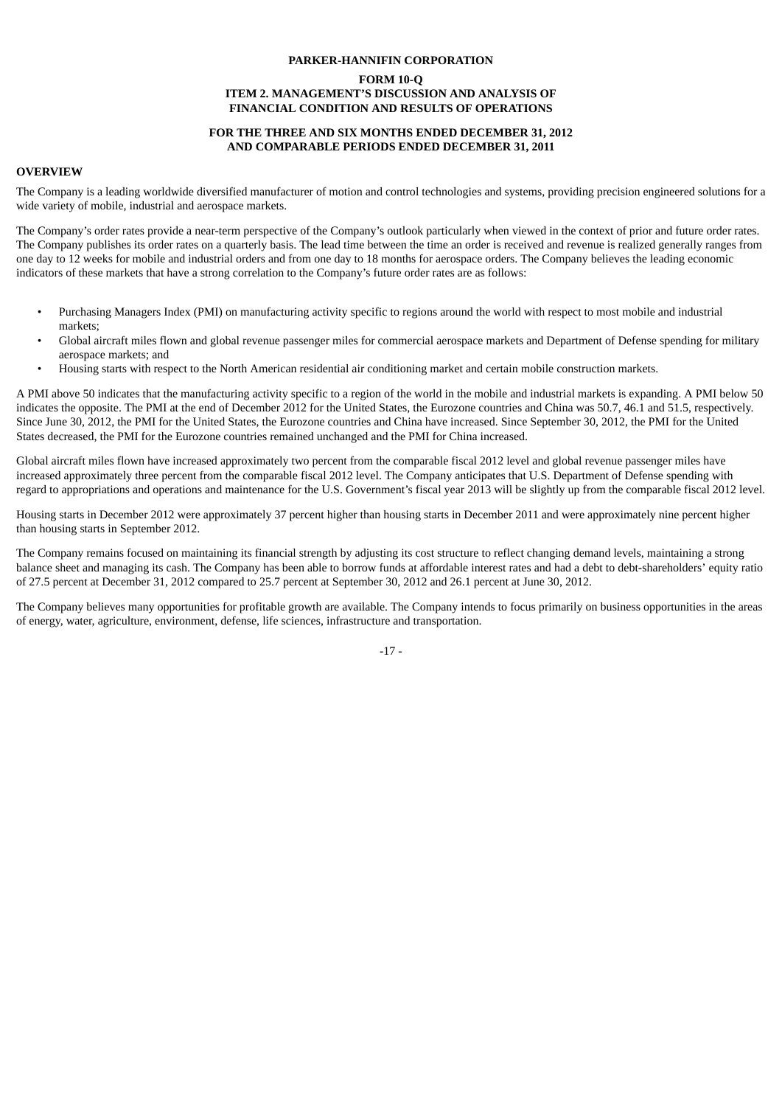#### **FORM 10-Q ITEM 2. MANAGEMENT'S DISCUSSION AND ANALYSIS OF FINANCIAL CONDITION AND RESULTS OF OPERATIONS**

#### **FOR THE THREE AND SIX MONTHS ENDED DECEMBER 31, 2012 AND COMPARABLE PERIODS ENDED DECEMBER 31, 2011**

#### **OVERVIEW**

The Company is a leading worldwide diversified manufacturer of motion and control technologies and systems, providing precision engineered solutions for a wide variety of mobile, industrial and aerospace markets.

The Company's order rates provide a near-term perspective of the Company's outlook particularly when viewed in the context of prior and future order rates. The Company publishes its order rates on a quarterly basis. The lead time between the time an order is received and revenue is realized generally ranges from one day to 12 weeks for mobile and industrial orders and from one day to 18 months for aerospace orders. The Company believes the leading economic indicators of these markets that have a strong correlation to the Company's future order rates are as follows:

- Purchasing Managers Index (PMI) on manufacturing activity specific to regions around the world with respect to most mobile and industrial markets;
- Global aircraft miles flown and global revenue passenger miles for commercial aerospace markets and Department of Defense spending for military aerospace markets; and
- Housing starts with respect to the North American residential air conditioning market and certain mobile construction markets.

A PMI above 50 indicates that the manufacturing activity specific to a region of the world in the mobile and industrial markets is expanding. A PMI below 50 indicates the opposite. The PMI at the end of December 2012 for the United States, the Eurozone countries and China was 50.7, 46.1 and 51.5, respectively. Since June 30, 2012, the PMI for the United States, the Eurozone countries and China have increased. Since September 30, 2012, the PMI for the United States decreased, the PMI for the Eurozone countries remained unchanged and the PMI for China increased.

Global aircraft miles flown have increased approximately two percent from the comparable fiscal 2012 level and global revenue passenger miles have increased approximately three percent from the comparable fiscal 2012 level. The Company anticipates that U.S. Department of Defense spending with regard to appropriations and operations and maintenance for the U.S. Government's fiscal year 2013 will be slightly up from the comparable fiscal 2012 level.

Housing starts in December 2012 were approximately 37 percent higher than housing starts in December 2011 and were approximately nine percent higher than housing starts in September 2012.

The Company remains focused on maintaining its financial strength by adjusting its cost structure to reflect changing demand levels, maintaining a strong balance sheet and managing its cash. The Company has been able to borrow funds at affordable interest rates and had a debt to debt-shareholders' equity ratio of 27.5 percent at December 31, 2012 compared to 25.7 percent at September 30, 2012 and 26.1 percent at June 30, 2012.

The Company believes many opportunities for profitable growth are available. The Company intends to focus primarily on business opportunities in the areas of energy, water, agriculture, environment, defense, life sciences, infrastructure and transportation.

 $-17 -$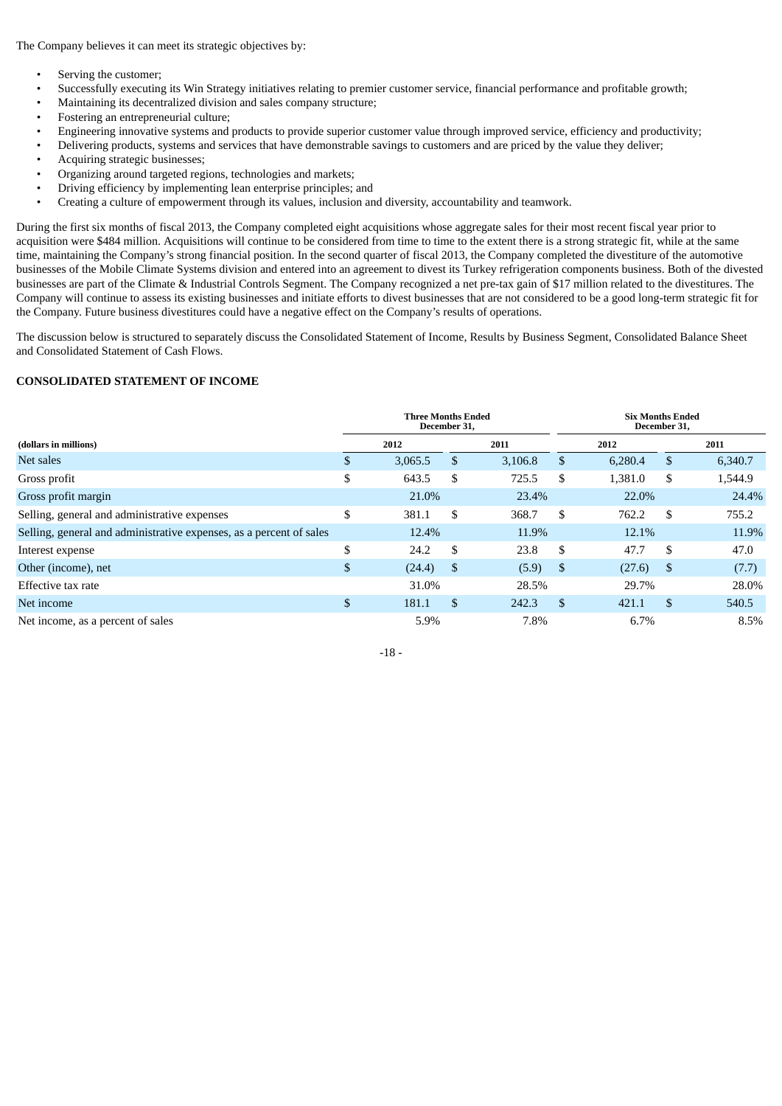The Company believes it can meet its strategic objectives by:

- Serving the customer;
- Successfully executing its Win Strategy initiatives relating to premier customer service, financial performance and profitable growth;
- Maintaining its decentralized division and sales company structure;
- Fostering an entrepreneurial culture;
- Engineering innovative systems and products to provide superior customer value through improved service, efficiency and productivity;
- Delivering products, systems and services that have demonstrable savings to customers and are priced by the value they deliver;
- Acquiring strategic businesses;
- Organizing around targeted regions, technologies and markets;
- Driving efficiency by implementing lean enterprise principles; and
- Creating a culture of empowerment through its values, inclusion and diversity, accountability and teamwork.

During the first six months of fiscal 2013, the Company completed eight acquisitions whose aggregate sales for their most recent fiscal year prior to acquisition were \$484 million. Acquisitions will continue to be considered from time to time to the extent there is a strong strategic fit, while at the same time, maintaining the Company's strong financial position. In the second quarter of fiscal 2013, the Company completed the divestiture of the automotive businesses of the Mobile Climate Systems division and entered into an agreement to divest its Turkey refrigeration components business. Both of the divested businesses are part of the Climate & Industrial Controls Segment. The Company recognized a net pre-tax gain of \$17 million related to the divestitures. The Company will continue to assess its existing businesses and initiate efforts to divest businesses that are not considered to be a good long-term strategic fit for the Company. Future business divestitures could have a negative effect on the Company's results of operations.

The discussion below is structured to separately discuss the Consolidated Statement of Income, Results by Business Segment, Consolidated Balance Sheet and Consolidated Statement of Cash Flows.

#### **CONSOLIDATED STATEMENT OF INCOME**

|                                                                     |              | <b>Three Months Ended</b><br>December 31, |      |         | <b>Six Months Ended</b><br>December 31, |         |               |         |  |
|---------------------------------------------------------------------|--------------|-------------------------------------------|------|---------|-----------------------------------------|---------|---------------|---------|--|
| (dollars in millions)                                               |              | 2012                                      |      | 2011    |                                         | 2012    |               | 2011    |  |
| Net sales                                                           | \$.          | 3,065.5                                   | S    | 3.106.8 | <sup>\$</sup>                           | 6,280.4 | \$            | 6,340.7 |  |
| Gross profit                                                        | S            | 643.5                                     | S    | 725.5   | \$                                      | 1,381.0 | S             | 1,544.9 |  |
| Gross profit margin                                                 |              | 21.0%                                     |      | 23.4%   |                                         | 22.0%   |               | 24.4%   |  |
| Selling, general and administrative expenses                        | \$           | 381.1                                     | \$   | 368.7   | -S                                      | 762.2   | -S            | 755.2   |  |
| Selling, general and administrative expenses, as a percent of sales |              | 12.4%                                     |      | 11.9%   |                                         | 12.1%   |               | 11.9%   |  |
| Interest expense                                                    | \$           | 24.2                                      | -S   | 23.8    | -\$                                     | 47.7    | -S            | 47.0    |  |
| Other (income), net                                                 | \$           | (24.4)                                    | - \$ | (5.9)   | -\$                                     | (27.6)  | -\$           | (7.7)   |  |
| Effective tax rate                                                  |              | 31.0%                                     |      | 28.5%   |                                         | 29.7%   |               | 28.0%   |  |
| Net income                                                          | $\mathbb{S}$ | 181.1                                     | -\$  | 242.3   | -\$                                     | 421.1   | <sup>\$</sup> | 540.5   |  |
| Net income, as a percent of sales                                   |              | 5.9%                                      |      | 7.8%    |                                         | 6.7%    |               | 8.5%    |  |

-18 -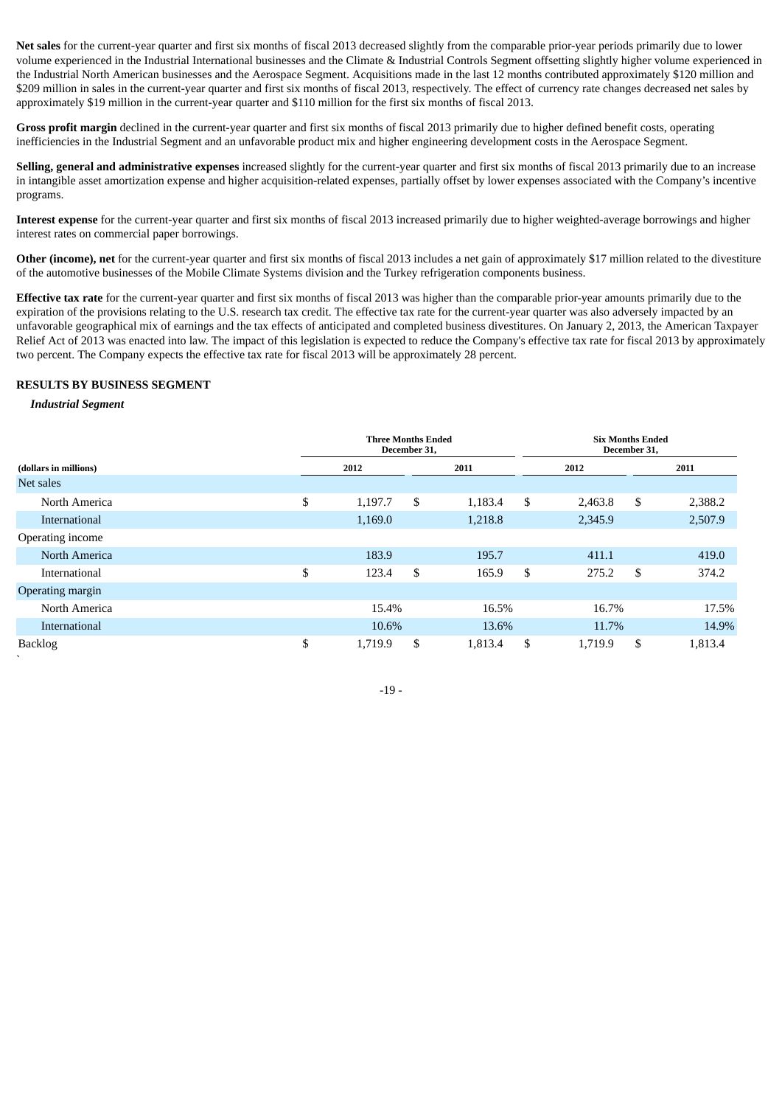**Net sales** for the current-year quarter and first six months of fiscal 2013 decreased slightly from the comparable prior-year periods primarily due to lower volume experienced in the Industrial International businesses and the Climate & Industrial Controls Segment offsetting slightly higher volume experienced in the Industrial North American businesses and the Aerospace Segment. Acquisitions made in the last 12 months contributed approximately \$120 million and \$209 million in sales in the current-year quarter and first six months of fiscal 2013, respectively. The effect of currency rate changes decreased net sales by approximately \$19 million in the current-year quarter and \$110 million for the first six months of fiscal 2013.

**Gross profit margin** declined in the current-year quarter and first six months of fiscal 2013 primarily due to higher defined benefit costs, operating inefficiencies in the Industrial Segment and an unfavorable product mix and higher engineering development costs in the Aerospace Segment.

**Selling, general and administrative expenses** increased slightly for the current-year quarter and first six months of fiscal 2013 primarily due to an increase in intangible asset amortization expense and higher acquisition-related expenses, partially offset by lower expenses associated with the Company's incentive programs.

**Interest expense** for the current-year quarter and first six months of fiscal 2013 increased primarily due to higher weighted-average borrowings and higher interest rates on commercial paper borrowings.

**Other (income), net** for the current-year quarter and first six months of fiscal 2013 includes a net gain of approximately \$17 million related to the divestiture of the automotive businesses of the Mobile Climate Systems division and the Turkey refrigeration components business.

**Effective tax rate** for the current-year quarter and first six months of fiscal 2013 was higher than the comparable prior-year amounts primarily due to the expiration of the provisions relating to the U.S. research tax credit. The effective tax rate for the current-year quarter was also adversely impacted by an unfavorable geographical mix of earnings and the tax effects of anticipated and completed business divestitures. On January 2, 2013, the American Taxpayer Relief Act of 2013 was enacted into law. The impact of this legislation is expected to reduce the Company's effective tax rate for fiscal 2013 by approximately two percent. The Company expects the effective tax rate for fiscal 2013 will be approximately 28 percent.

#### **RESULTS BY BUSINESS SEGMENT**

#### *Industrial Segment*

|                       | <b>Three Months Ended</b><br>December 31, |         |    |         |               | <b>Six Months Ended</b><br>December 31, |         |
|-----------------------|-------------------------------------------|---------|----|---------|---------------|-----------------------------------------|---------|
| (dollars in millions) |                                           | 2012    |    | 2011    | 2012          |                                         | 2011    |
| Net sales             |                                           |         |    |         |               |                                         |         |
| North America         | \$                                        | 1,197.7 | \$ | 1,183.4 | \$<br>2,463.8 | \$                                      | 2,388.2 |
| International         |                                           | 1,169.0 |    | 1,218.8 | 2,345.9       |                                         | 2,507.9 |
| Operating income      |                                           |         |    |         |               |                                         |         |
| North America         |                                           | 183.9   |    | 195.7   | 411.1         |                                         | 419.0   |
| International         | \$                                        | 123.4   | \$ | 165.9   | \$<br>275.2   | \$                                      | 374.2   |
| Operating margin      |                                           |         |    |         |               |                                         |         |
| North America         |                                           | 15.4%   |    | 16.5%   | 16.7%         |                                         | 17.5%   |
| International         |                                           | 10.6%   |    | 13.6%   | 11.7%         |                                         | 14.9%   |
| <b>Backlog</b>        | \$                                        | 1,719.9 | \$ | 1,813.4 | \$<br>1,719.9 | \$                                      | 1,813.4 |

-19 -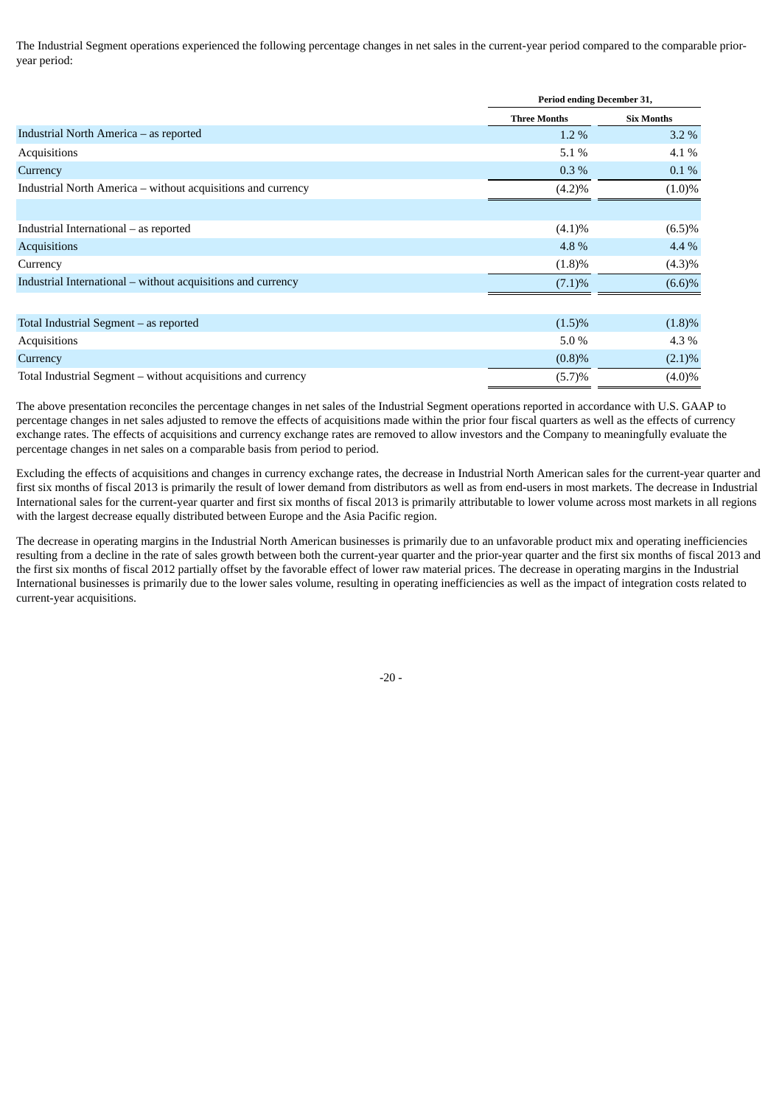The Industrial Segment operations experienced the following percentage changes in net sales in the current-year period compared to the comparable prioryear period:

|                                                              | Period ending December 31, |                   |  |
|--------------------------------------------------------------|----------------------------|-------------------|--|
|                                                              | <b>Three Months</b>        | <b>Six Months</b> |  |
| Industrial North America – as reported                       | 1.2%                       | $3.2\%$           |  |
| Acquisitions                                                 | 5.1%                       | 4.1 %             |  |
| Currency                                                     | $0.3\%$                    | $0.1\%$           |  |
| Industrial North America - without acquisitions and currency | $(4.2)\%$                  | $(1.0)\%$         |  |
|                                                              |                            |                   |  |
| Industrial International – as reported                       | $(4.1)\%$                  | $(6.5)\%$         |  |
| Acquisitions                                                 | 4.8%                       | 4.4 %             |  |
| Currency                                                     | (1.8)%                     | $(4.3)\%$         |  |
| Industrial International – without acquisitions and currency | $(7.1)\%$                  | $(6.6)\%$         |  |
|                                                              |                            |                   |  |
| Total Industrial Segment – as reported                       | $(1.5)\%$                  | $(1.8)\%$         |  |
| Acquisitions                                                 | 5.0%                       | 4.3%              |  |
| Currency                                                     | (0.8)%                     | $(2.1)\%$         |  |
| Total Industrial Segment – without acquisitions and currency | $(5.7)\%$                  | $(4.0)\%$         |  |

The above presentation reconciles the percentage changes in net sales of the Industrial Segment operations reported in accordance with U.S. GAAP to percentage changes in net sales adjusted to remove the effects of acquisitions made within the prior four fiscal quarters as well as the effects of currency exchange rates. The effects of acquisitions and currency exchange rates are removed to allow investors and the Company to meaningfully evaluate the percentage changes in net sales on a comparable basis from period to period.

Excluding the effects of acquisitions and changes in currency exchange rates, the decrease in Industrial North American sales for the current-year quarter and first six months of fiscal 2013 is primarily the result of lower demand from distributors as well as from end-users in most markets. The decrease in Industrial International sales for the current-year quarter and first six months of fiscal 2013 is primarily attributable to lower volume across most markets in all regions with the largest decrease equally distributed between Europe and the Asia Pacific region.

The decrease in operating margins in the Industrial North American businesses is primarily due to an unfavorable product mix and operating inefficiencies resulting from a decline in the rate of sales growth between both the current-year quarter and the prior-year quarter and the first six months of fiscal 2013 and the first six months of fiscal 2012 partially offset by the favorable effect of lower raw material prices. The decrease in operating margins in the Industrial International businesses is primarily due to the lower sales volume, resulting in operating inefficiencies as well as the impact of integration costs related to current-year acquisitions.

 $-20 -$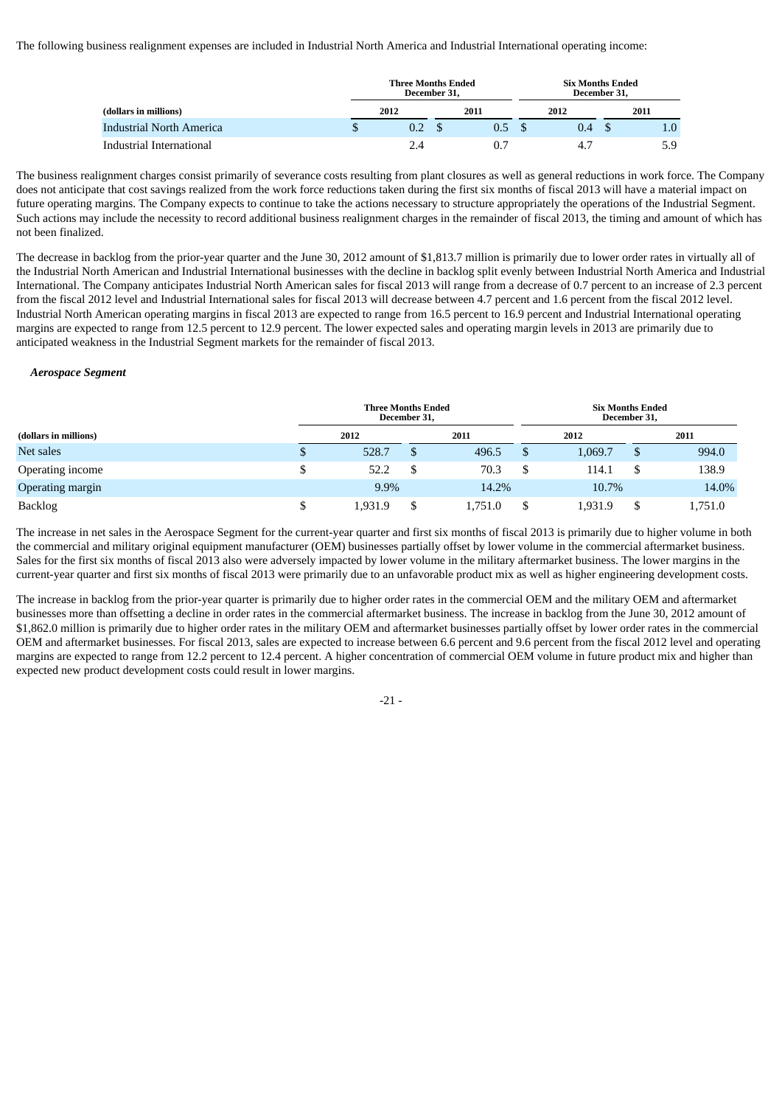The following business realignment expenses are included in Industrial North America and Industrial International operating income:

|                          |  | <b>Three Months Ended</b><br>December 31, |               | <b>Six Months Ended</b><br>December 31, |  |                  |
|--------------------------|--|-------------------------------------------|---------------|-----------------------------------------|--|------------------|
| (dollars in millions)    |  | 2012                                      | 2011          | 2012                                    |  | 2011             |
| Industrial North America |  | 0.2                                       | $0.5^{\circ}$ | 0.4                                     |  | 1.0 <sub>1</sub> |
| Industrial International |  | 74                                        |               | 4.7                                     |  | 5.9              |

The business realignment charges consist primarily of severance costs resulting from plant closures as well as general reductions in work force. The Company does not anticipate that cost savings realized from the work force reductions taken during the first six months of fiscal 2013 will have a material impact on future operating margins. The Company expects to continue to take the actions necessary to structure appropriately the operations of the Industrial Segment. Such actions may include the necessity to record additional business realignment charges in the remainder of fiscal 2013, the timing and amount of which has not been finalized.

The decrease in backlog from the prior-year quarter and the June 30, 2012 amount of \$1,813.7 million is primarily due to lower order rates in virtually all of the Industrial North American and Industrial International businesses with the decline in backlog split evenly between Industrial North America and Industrial International. The Company anticipates Industrial North American sales for fiscal 2013 will range from a decrease of 0.7 percent to an increase of 2.3 percent from the fiscal 2012 level and Industrial International sales for fiscal 2013 will decrease between 4.7 percent and 1.6 percent from the fiscal 2012 level. Industrial North American operating margins in fiscal 2013 are expected to range from 16.5 percent to 16.9 percent and Industrial International operating margins are expected to range from 12.5 percent to 12.9 percent. The lower expected sales and operating margin levels in 2013 are primarily due to anticipated weakness in the Industrial Segment markets for the remainder of fiscal 2013.

#### *Aerospace Segment*

|                       |   | <b>Three Months Ended</b><br>December 31, |  | <b>Six Months Ended</b><br>December 31, |         |    |         |
|-----------------------|---|-------------------------------------------|--|-----------------------------------------|---------|----|---------|
| (dollars in millions) |   | 2012                                      |  | 2011                                    | 2012    |    | 2011    |
| Net sales             | Φ | 528.7                                     |  | 496.5                                   | 1,069.7 | \$ | 994.0   |
| Operating income      | J | 52.2                                      |  | 70.3                                    | 114.1   | \$ | 138.9   |
| Operating margin      |   | 9.9%                                      |  | 14.2%                                   | 10.7%   |    | 14.0%   |
| <b>Backlog</b>        |   | 1,931.9                                   |  | 1,751.0                                 | 1,931.9 | S  | 1,751.0 |

The increase in net sales in the Aerospace Segment for the current-year quarter and first six months of fiscal 2013 is primarily due to higher volume in both the commercial and military original equipment manufacturer (OEM) businesses partially offset by lower volume in the commercial aftermarket business. Sales for the first six months of fiscal 2013 also were adversely impacted by lower volume in the military aftermarket business. The lower margins in the current-year quarter and first six months of fiscal 2013 were primarily due to an unfavorable product mix as well as higher engineering development costs.

The increase in backlog from the prior-year quarter is primarily due to higher order rates in the commercial OEM and the military OEM and aftermarket businesses more than offsetting a decline in order rates in the commercial aftermarket business. The increase in backlog from the June 30, 2012 amount of \$1,862.0 million is primarily due to higher order rates in the military OEM and aftermarket businesses partially offset by lower order rates in the commercial OEM and aftermarket businesses. For fiscal 2013, sales are expected to increase between 6.6 percent and 9.6 percent from the fiscal 2012 level and operating margins are expected to range from 12.2 percent to 12.4 percent. A higher concentration of commercial OEM volume in future product mix and higher than expected new product development costs could result in lower margins.

 $-21 -$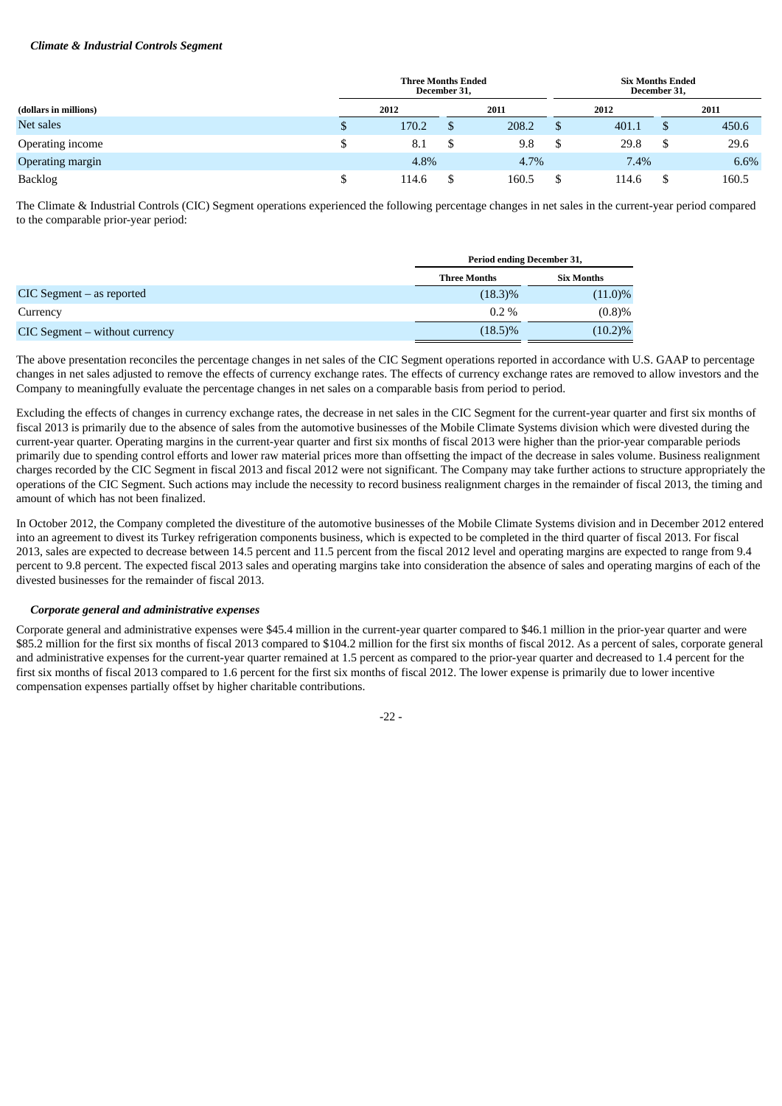#### *Climate & Industrial Controls Segment*

|                       |   | <b>Three Months Ended</b><br>December 31, |             | <b>Six Months Ended</b><br>December 31, |         |  |       |
|-----------------------|---|-------------------------------------------|-------------|-----------------------------------------|---------|--|-------|
| (dollars in millions) |   | 2012                                      | 2011        |                                         | 2012    |  | 2011  |
| Net sales             | D | 170.2                                     | \$<br>208.2 | S                                       | 401.1   |  | 450.6 |
| Operating income      |   | 8.1                                       | 9.8         | -S                                      | 29.8    |  | 29.6  |
| Operating margin      |   | 4.8%                                      | 4.7%        |                                         | $7.4\%$ |  | 6.6%  |
| <b>Backlog</b>        | ╜ | 114.6                                     | 160.5       | S                                       | 114.6   |  | 160.5 |

The Climate & Industrial Controls (CIC) Segment operations experienced the following percentage changes in net sales in the current-year period compared to the comparable prior-year period:

|                                    | <b>Period ending December 31,</b> |            |  |  |  |
|------------------------------------|-----------------------------------|------------|--|--|--|
|                                    | <b>Three Months</b>               | Six Months |  |  |  |
| $CIC$ Segment $-$ as reported      | $(18.3)\%$                        | $(11.0)\%$ |  |  |  |
| Currency                           | $0.2\%$                           | (0.8)%     |  |  |  |
| $CIC$ Segment $-$ without currency | $(18.5)\%$                        | $(10.2)\%$ |  |  |  |

The above presentation reconciles the percentage changes in net sales of the CIC Segment operations reported in accordance with U.S. GAAP to percentage changes in net sales adjusted to remove the effects of currency exchange rates. The effects of currency exchange rates are removed to allow investors and the Company to meaningfully evaluate the percentage changes in net sales on a comparable basis from period to period.

Excluding the effects of changes in currency exchange rates, the decrease in net sales in the CIC Segment for the current-year quarter and first six months of fiscal 2013 is primarily due to the absence of sales from the automotive businesses of the Mobile Climate Systems division which were divested during the current-year quarter. Operating margins in the current-year quarter and first six months of fiscal 2013 were higher than the prior-year comparable periods primarily due to spending control efforts and lower raw material prices more than offsetting the impact of the decrease in sales volume. Business realignment charges recorded by the CIC Segment in fiscal 2013 and fiscal 2012 were not significant. The Company may take further actions to structure appropriately the operations of the CIC Segment. Such actions may include the necessity to record business realignment charges in the remainder of fiscal 2013, the timing and amount of which has not been finalized.

In October 2012, the Company completed the divestiture of the automotive businesses of the Mobile Climate Systems division and in December 2012 entered into an agreement to divest its Turkey refrigeration components business, which is expected to be completed in the third quarter of fiscal 2013. For fiscal 2013, sales are expected to decrease between 14.5 percent and 11.5 percent from the fiscal 2012 level and operating margins are expected to range from 9.4 percent to 9.8 percent. The expected fiscal 2013 sales and operating margins take into consideration the absence of sales and operating margins of each of the divested businesses for the remainder of fiscal 2013.

## *Corporate general and administrative expenses*

Corporate general and administrative expenses were \$45.4 million in the current-year quarter compared to \$46.1 million in the prior-year quarter and were \$85.2 million for the first six months of fiscal 2013 compared to \$104.2 million for the first six months of fiscal 2012. As a percent of sales, corporate general and administrative expenses for the current-year quarter remained at 1.5 percent as compared to the prior-year quarter and decreased to 1.4 percent for the first six months of fiscal 2013 compared to 1.6 percent for the first six months of fiscal 2012. The lower expense is primarily due to lower incentive compensation expenses partially offset by higher charitable contributions.

 $-22 -$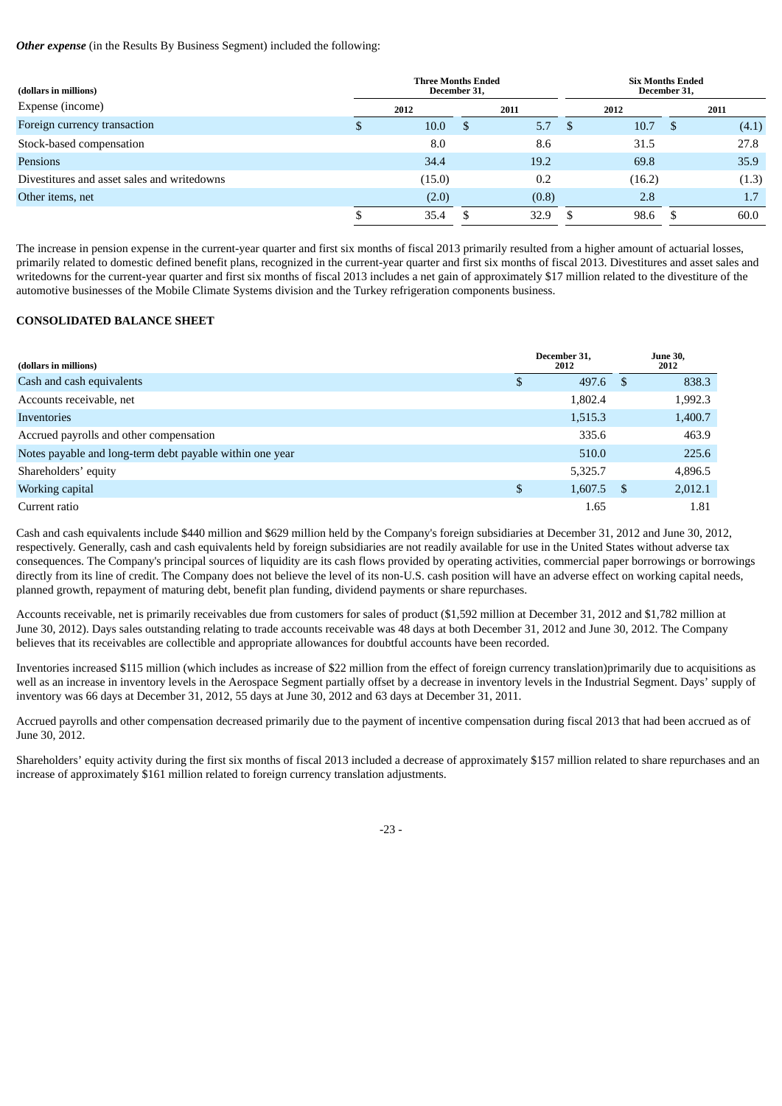*Other expense* (in the Results By Business Segment) included the following:

| (dollars in millions)                       | <b>Three Months Ended</b><br>December 31, |  |       |  | <b>Six Months Ended</b><br>December 31, |  |       |  |
|---------------------------------------------|-------------------------------------------|--|-------|--|-----------------------------------------|--|-------|--|
| Expense (income)                            | 2012                                      |  | 2011  |  | 2012                                    |  | 2011  |  |
| Foreign currency transaction                | 10.0                                      |  | 5.7   |  | 10.7                                    |  | (4.1) |  |
| Stock-based compensation                    | 8.0                                       |  | 8.6   |  | 31.5                                    |  | 27.8  |  |
| <b>Pensions</b>                             | 34.4                                      |  | 19.2  |  | 69.8                                    |  | 35.9  |  |
| Divestitures and asset sales and writedowns | (15.0)                                    |  | 0.2   |  | (16.2)                                  |  | (1.3) |  |
| Other items, net                            | (2.0)                                     |  | (0.8) |  | 2.8                                     |  | 1.7   |  |
|                                             | 35.4                                      |  | 32.9  |  | 98.6                                    |  | 60.0  |  |

The increase in pension expense in the current-year quarter and first six months of fiscal 2013 primarily resulted from a higher amount of actuarial losses, primarily related to domestic defined benefit plans, recognized in the current-year quarter and first six months of fiscal 2013. Divestitures and asset sales and writedowns for the current-year quarter and first six months of fiscal 2013 includes a net gain of approximately \$17 million related to the divestiture of the automotive businesses of the Mobile Climate Systems division and the Turkey refrigeration components business.

## **CONSOLIDATED BALANCE SHEET**

| (dollars in millions)                                    |    | December 31.<br>2012 |     | <b>June 30,</b><br>2012 |
|----------------------------------------------------------|----|----------------------|-----|-------------------------|
| Cash and cash equivalents                                | D  | 497.6                | - S | 838.3                   |
| Accounts receivable, net                                 |    | 1,802.4              |     | 1,992.3                 |
| Inventories                                              |    | 1,515.3              |     | 1,400.7                 |
| Accrued payrolls and other compensation                  |    | 335.6                |     | 463.9                   |
| Notes payable and long-term debt payable within one year |    | 510.0                |     | 225.6                   |
| Shareholders' equity                                     |    | 5,325.7              |     | 4,896.5                 |
| Working capital                                          | \$ | 1,607.5              | - S | 2,012.1                 |
| Current ratio                                            |    | 1.65                 |     | 1.81                    |

Cash and cash equivalents include \$440 million and \$629 million held by the Company's foreign subsidiaries at December 31, 2012 and June 30, 2012, respectively. Generally, cash and cash equivalents held by foreign subsidiaries are not readily available for use in the United States without adverse tax consequences. The Company's principal sources of liquidity are its cash flows provided by operating activities, commercial paper borrowings or borrowings directly from its line of credit. The Company does not believe the level of its non-U.S. cash position will have an adverse effect on working capital needs, planned growth, repayment of maturing debt, benefit plan funding, dividend payments or share repurchases.

Accounts receivable, net is primarily receivables due from customers for sales of product (\$1,592 million at December 31, 2012 and \$1,782 million at June 30, 2012). Days sales outstanding relating to trade accounts receivable was 48 days at both December 31, 2012 and June 30, 2012. The Company believes that its receivables are collectible and appropriate allowances for doubtful accounts have been recorded.

Inventories increased \$115 million (which includes as increase of \$22 million from the effect of foreign currency translation)primarily due to acquisitions as well as an increase in inventory levels in the Aerospace Segment partially offset by a decrease in inventory levels in the Industrial Segment. Days' supply of inventory was 66 days at December 31, 2012, 55 days at June 30, 2012 and 63 days at December 31, 2011.

Accrued payrolls and other compensation decreased primarily due to the payment of incentive compensation during fiscal 2013 that had been accrued as of June 30, 2012.

Shareholders' equity activity during the first six months of fiscal 2013 included a decrease of approximately \$157 million related to share repurchases and an increase of approximately \$161 million related to foreign currency translation adjustments.

-23 -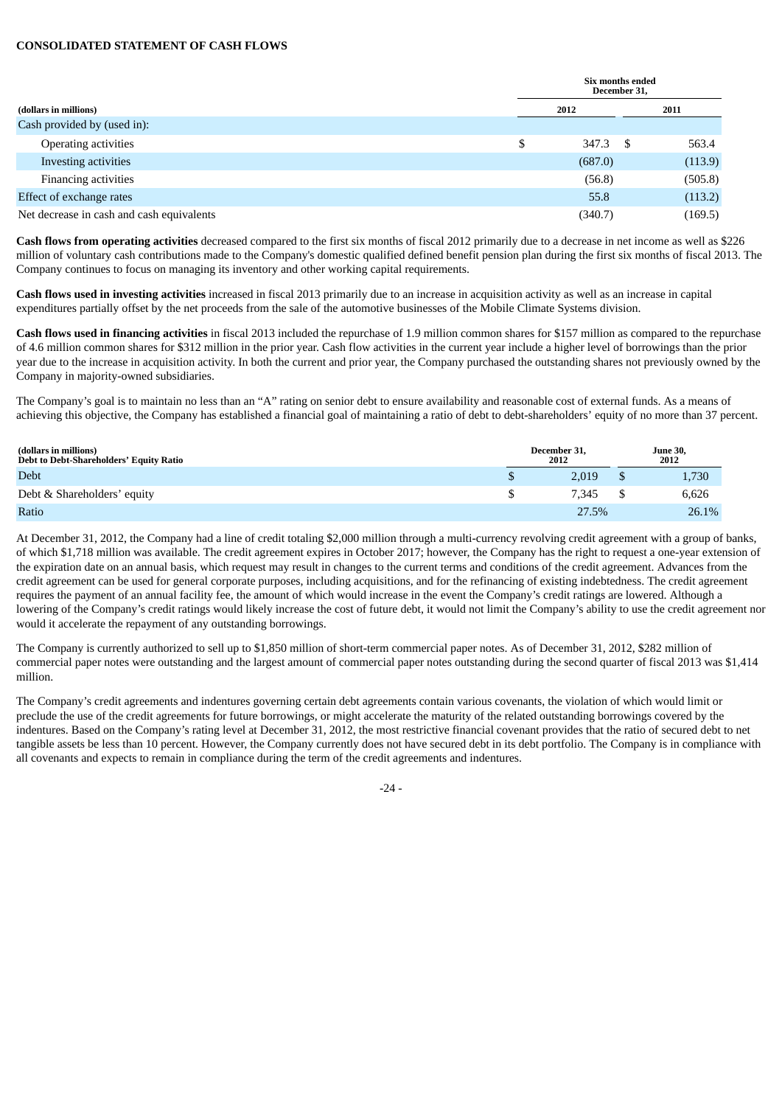#### **CONSOLIDATED STATEMENT OF CASH FLOWS**

|                                           | Six months ended<br>December 31, |      |         |
|-------------------------------------------|----------------------------------|------|---------|
| (dollars in millions)                     | 2012                             |      | 2011    |
| Cash provided by (used in):               |                                  |      |         |
| Operating activities                      | \$<br>347.3                      | - \$ | 563.4   |
| Investing activities                      | (687.0)                          |      | (113.9) |
| <b>Financing activities</b>               | (56.8)                           |      | (505.8) |
| Effect of exchange rates                  | 55.8                             |      | (113.2) |
| Net decrease in cash and cash equivalents | (340.7)                          |      | (169.5) |

**Cash flows from operating activities** decreased compared to the first six months of fiscal 2012 primarily due to a decrease in net income as well as \$226 million of voluntary cash contributions made to the Company's domestic qualified defined benefit pension plan during the first six months of fiscal 2013. The Company continues to focus on managing its inventory and other working capital requirements.

**Cash flows used in investing activities** increased in fiscal 2013 primarily due to an increase in acquisition activity as well as an increase in capital expenditures partially offset by the net proceeds from the sale of the automotive businesses of the Mobile Climate Systems division.

**Cash flows used in financing activities** in fiscal 2013 included the repurchase of 1.9 million common shares for \$157 million as compared to the repurchase of 4.6 million common shares for \$312 million in the prior year. Cash flow activities in the current year include a higher level of borrowings than the prior year due to the increase in acquisition activity. In both the current and prior year, the Company purchased the outstanding shares not previously owned by the Company in majority-owned subsidiaries.

The Company's goal is to maintain no less than an "A" rating on senior debt to ensure availability and reasonable cost of external funds. As a means of achieving this objective, the Company has established a financial goal of maintaining a ratio of debt to debt-shareholders' equity of no more than 37 percent.

| (dollars in millions)<br>Debt to Debt-Shareholders' Equity Ratio | December 31,<br>2012 | <b>June 30,</b><br>2012 |
|------------------------------------------------------------------|----------------------|-------------------------|
| <b>Debt</b>                                                      | 2.019                | 1,730                   |
| Debt & Shareholders' equity                                      | 7.345                | 6,626                   |
| Ratio                                                            | 27.5%                | 26.1%                   |

At December 31, 2012, the Company had a line of credit totaling \$2,000 million through a multi-currency revolving credit agreement with a group of banks, of which \$1,718 million was available. The credit agreement expires in October 2017; however, the Company has the right to request a one-year extension of the expiration date on an annual basis, which request may result in changes to the current terms and conditions of the credit agreement. Advances from the credit agreement can be used for general corporate purposes, including acquisitions, and for the refinancing of existing indebtedness. The credit agreement requires the payment of an annual facility fee, the amount of which would increase in the event the Company's credit ratings are lowered. Although a lowering of the Company's credit ratings would likely increase the cost of future debt, it would not limit the Company's ability to use the credit agreement nor would it accelerate the repayment of any outstanding borrowings.

The Company is currently authorized to sell up to \$1,850 million of short-term commercial paper notes. As of December 31, 2012, \$282 million of commercial paper notes were outstanding and the largest amount of commercial paper notes outstanding during the second quarter of fiscal 2013 was \$1,414 million.

The Company's credit agreements and indentures governing certain debt agreements contain various covenants, the violation of which would limit or preclude the use of the credit agreements for future borrowings, or might accelerate the maturity of the related outstanding borrowings covered by the indentures. Based on the Company's rating level at December 31, 2012, the most restrictive financial covenant provides that the ratio of secured debt to net tangible assets be less than 10 percent. However, the Company currently does not have secured debt in its debt portfolio. The Company is in compliance with all covenants and expects to remain in compliance during the term of the credit agreements and indentures.

-24 -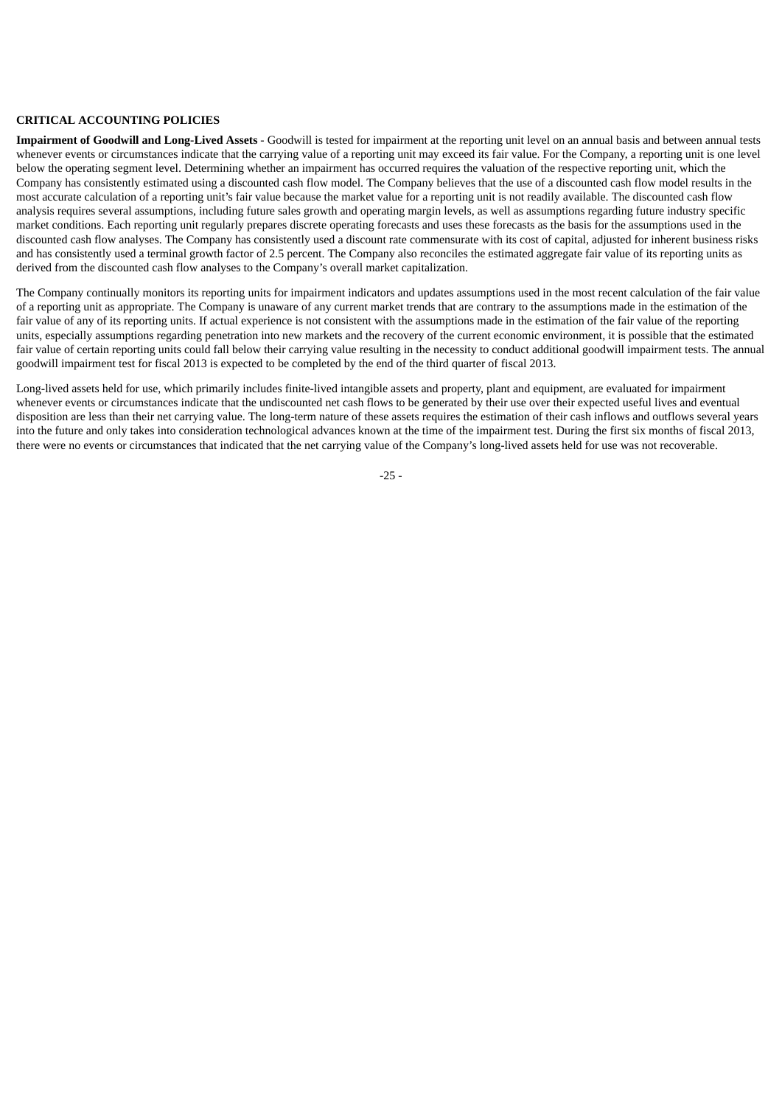#### **CRITICAL ACCOUNTING POLICIES**

**Impairment of Goodwill and Long-Lived Assets** - Goodwill is tested for impairment at the reporting unit level on an annual basis and between annual tests whenever events or circumstances indicate that the carrying value of a reporting unit may exceed its fair value. For the Company, a reporting unit is one level below the operating segment level. Determining whether an impairment has occurred requires the valuation of the respective reporting unit, which the Company has consistently estimated using a discounted cash flow model. The Company believes that the use of a discounted cash flow model results in the most accurate calculation of a reporting unit's fair value because the market value for a reporting unit is not readily available. The discounted cash flow analysis requires several assumptions, including future sales growth and operating margin levels, as well as assumptions regarding future industry specific market conditions. Each reporting unit regularly prepares discrete operating forecasts and uses these forecasts as the basis for the assumptions used in the discounted cash flow analyses. The Company has consistently used a discount rate commensurate with its cost of capital, adjusted for inherent business risks and has consistently used a terminal growth factor of 2.5 percent. The Company also reconciles the estimated aggregate fair value of its reporting units as derived from the discounted cash flow analyses to the Company's overall market capitalization.

The Company continually monitors its reporting units for impairment indicators and updates assumptions used in the most recent calculation of the fair value of a reporting unit as appropriate. The Company is unaware of any current market trends that are contrary to the assumptions made in the estimation of the fair value of any of its reporting units. If actual experience is not consistent with the assumptions made in the estimation of the fair value of the reporting units, especially assumptions regarding penetration into new markets and the recovery of the current economic environment, it is possible that the estimated fair value of certain reporting units could fall below their carrying value resulting in the necessity to conduct additional goodwill impairment tests. The annual goodwill impairment test for fiscal 2013 is expected to be completed by the end of the third quarter of fiscal 2013.

Long-lived assets held for use, which primarily includes finite-lived intangible assets and property, plant and equipment, are evaluated for impairment whenever events or circumstances indicate that the undiscounted net cash flows to be generated by their use over their expected useful lives and eventual disposition are less than their net carrying value. The long-term nature of these assets requires the estimation of their cash inflows and outflows several years into the future and only takes into consideration technological advances known at the time of the impairment test. During the first six months of fiscal 2013, there were no events or circumstances that indicated that the net carrying value of the Company's long-lived assets held for use was not recoverable.

 $-25 -$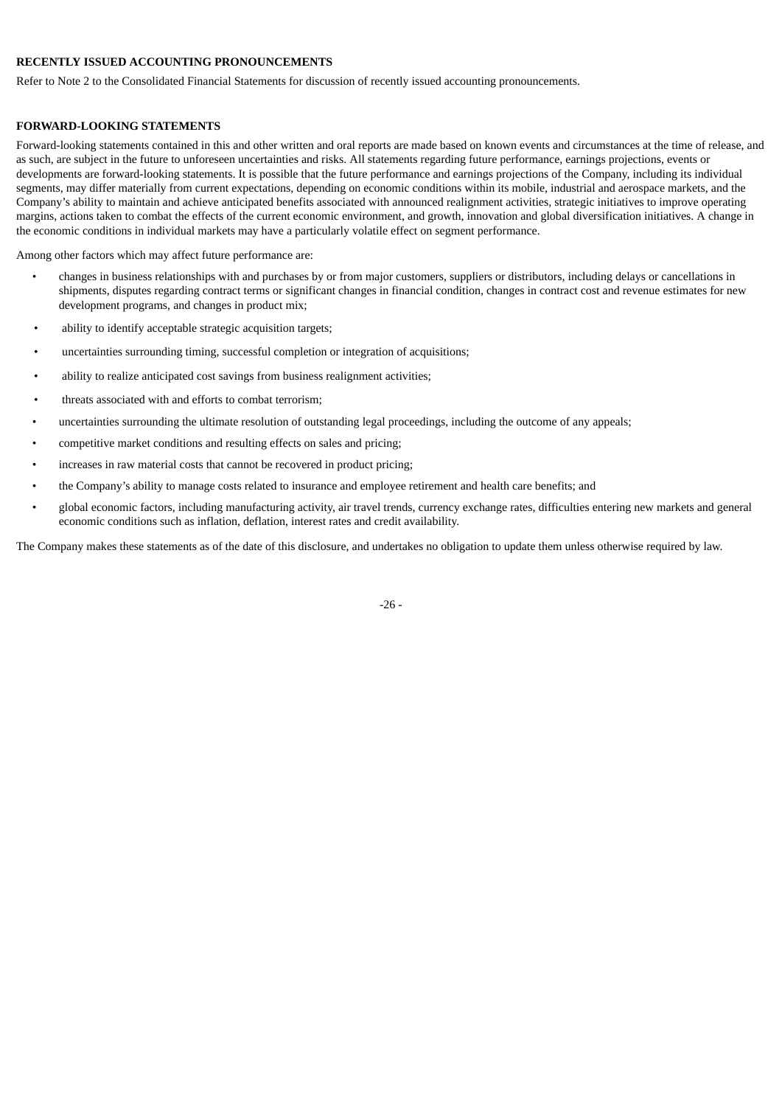#### **RECENTLY ISSUED ACCOUNTING PRONOUNCEMENTS**

Refer to Note 2 to the Consolidated Financial Statements for discussion of recently issued accounting pronouncements.

#### **FORWARD-LOOKING STATEMENTS**

Forward-looking statements contained in this and other written and oral reports are made based on known events and circumstances at the time of release, and as such, are subject in the future to unforeseen uncertainties and risks. All statements regarding future performance, earnings projections, events or developments are forward-looking statements. It is possible that the future performance and earnings projections of the Company, including its individual segments, may differ materially from current expectations, depending on economic conditions within its mobile, industrial and aerospace markets, and the Company's ability to maintain and achieve anticipated benefits associated with announced realignment activities, strategic initiatives to improve operating margins, actions taken to combat the effects of the current economic environment, and growth, innovation and global diversification initiatives. A change in the economic conditions in individual markets may have a particularly volatile effect on segment performance.

Among other factors which may affect future performance are:

- changes in business relationships with and purchases by or from major customers, suppliers or distributors, including delays or cancellations in shipments, disputes regarding contract terms or significant changes in financial condition, changes in contract cost and revenue estimates for new development programs, and changes in product mix;
- ability to identify acceptable strategic acquisition targets;
- uncertainties surrounding timing, successful completion or integration of acquisitions;
- ability to realize anticipated cost savings from business realignment activities;
- threats associated with and efforts to combat terrorism;
- uncertainties surrounding the ultimate resolution of outstanding legal proceedings, including the outcome of any appeals;
- competitive market conditions and resulting effects on sales and pricing;
- increases in raw material costs that cannot be recovered in product pricing;
- the Company's ability to manage costs related to insurance and employee retirement and health care benefits; and
- global economic factors, including manufacturing activity, air travel trends, currency exchange rates, difficulties entering new markets and general economic conditions such as inflation, deflation, interest rates and credit availability.

The Company makes these statements as of the date of this disclosure, and undertakes no obligation to update them unless otherwise required by law.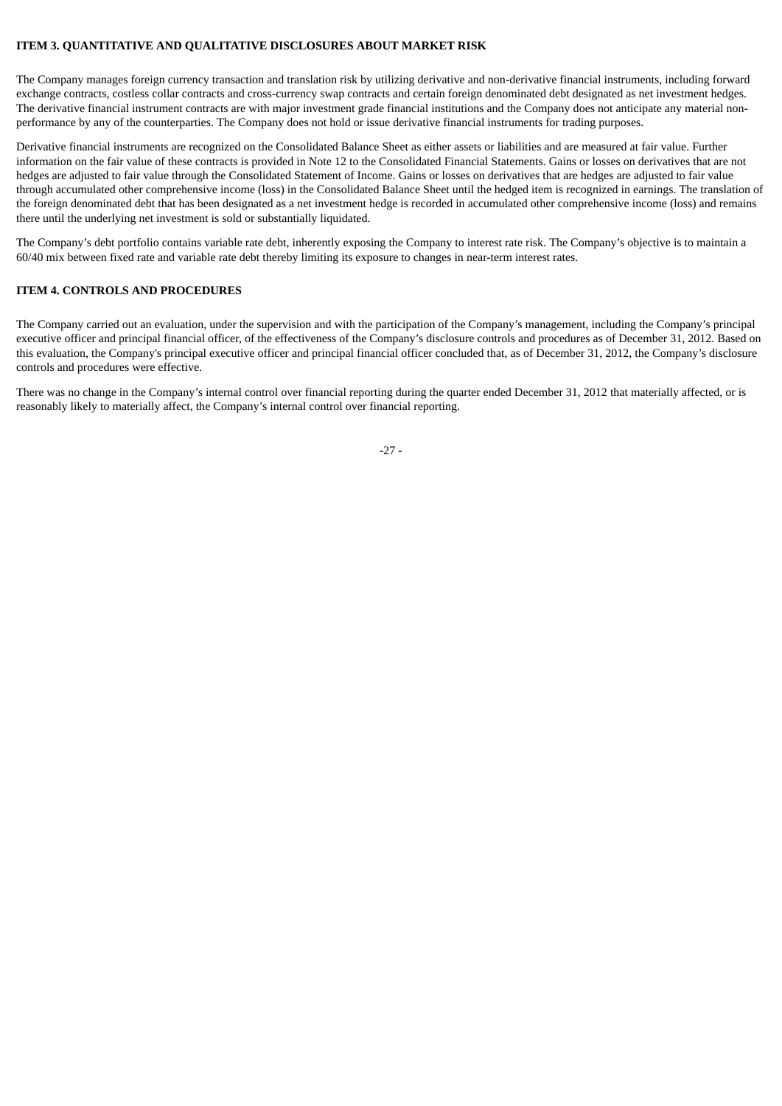#### **ITEM 3. QUANTITATIVE AND QUALITATIVE DISCLOSURES ABOUT MARKET RISK**

The Company manages foreign currency transaction and translation risk by utilizing derivative and non-derivative financial instruments, including forward exchange contracts, costless collar contracts and cross-currency swap contracts and certain foreign denominated debt designated as net investment hedges. The derivative financial instrument contracts are with major investment grade financial institutions and the Company does not anticipate any material nonperformance by any of the counterparties. The Company does not hold or issue derivative financial instruments for trading purposes.

Derivative financial instruments are recognized on the Consolidated Balance Sheet as either assets or liabilities and are measured at fair value. Further information on the fair value of these contracts is provided in Note 12 to the Consolidated Financial Statements. Gains or losses on derivatives that are not hedges are adjusted to fair value through the Consolidated Statement of Income. Gains or losses on derivatives that are hedges are adjusted to fair value through accumulated other comprehensive income (loss) in the Consolidated Balance Sheet until the hedged item is recognized in earnings. The translation of the foreign denominated debt that has been designated as a net investment hedge is recorded in accumulated other comprehensive income (loss) and remains there until the underlying net investment is sold or substantially liquidated.

The Company's debt portfolio contains variable rate debt, inherently exposing the Company to interest rate risk. The Company's objective is to maintain a 60/40 mix between fixed rate and variable rate debt thereby limiting its exposure to changes in near-term interest rates.

#### **ITEM 4. CONTROLS AND PROCEDURES**

The Company carried out an evaluation, under the supervision and with the participation of the Company's management, including the Company's principal executive officer and principal financial officer, of the effectiveness of the Company's disclosure controls and procedures as of December 31, 2012. Based on this evaluation, the Company's principal executive officer and principal financial officer concluded that, as of December 31, 2012, the Company's disclosure controls and procedures were effective.

There was no change in the Company's internal control over financial reporting during the quarter ended December 31, 2012 that materially affected, or is reasonably likely to materially affect, the Company's internal control over financial reporting.

-27 -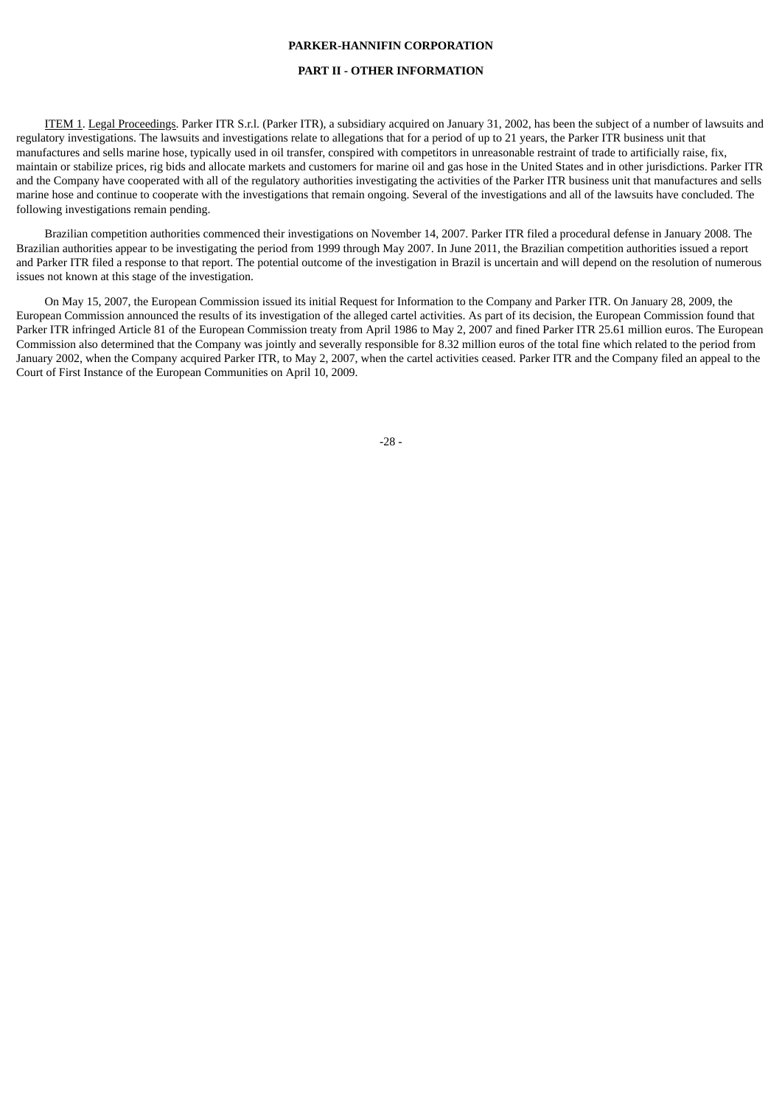#### **PART II - OTHER INFORMATION**

ITEM 1. Legal Proceedings. Parker ITR S.r.l. (Parker ITR), a subsidiary acquired on January 31, 2002, has been the subject of a number of lawsuits and regulatory investigations. The lawsuits and investigations relate to allegations that for a period of up to 21 years, the Parker ITR business unit that manufactures and sells marine hose, typically used in oil transfer, conspired with competitors in unreasonable restraint of trade to artificially raise, fix, maintain or stabilize prices, rig bids and allocate markets and customers for marine oil and gas hose in the United States and in other jurisdictions. Parker ITR and the Company have cooperated with all of the regulatory authorities investigating the activities of the Parker ITR business unit that manufactures and sells marine hose and continue to cooperate with the investigations that remain ongoing. Several of the investigations and all of the lawsuits have concluded. The following investigations remain pending.

Brazilian competition authorities commenced their investigations on November 14, 2007. Parker ITR filed a procedural defense in January 2008. The Brazilian authorities appear to be investigating the period from 1999 through May 2007. In June 2011, the Brazilian competition authorities issued a report and Parker ITR filed a response to that report. The potential outcome of the investigation in Brazil is uncertain and will depend on the resolution of numerous issues not known at this stage of the investigation.

On May 15, 2007, the European Commission issued its initial Request for Information to the Company and Parker ITR. On January 28, 2009, the European Commission announced the results of its investigation of the alleged cartel activities. As part of its decision, the European Commission found that Parker ITR infringed Article 81 of the European Commission treaty from April 1986 to May 2, 2007 and fined Parker ITR 25.61 million euros. The European Commission also determined that the Company was jointly and severally responsible for 8.32 million euros of the total fine which related to the period from January 2002, when the Company acquired Parker ITR, to May 2, 2007, when the cartel activities ceased. Parker ITR and the Company filed an appeal to the Court of First Instance of the European Communities on April 10, 2009.

 $-28 -$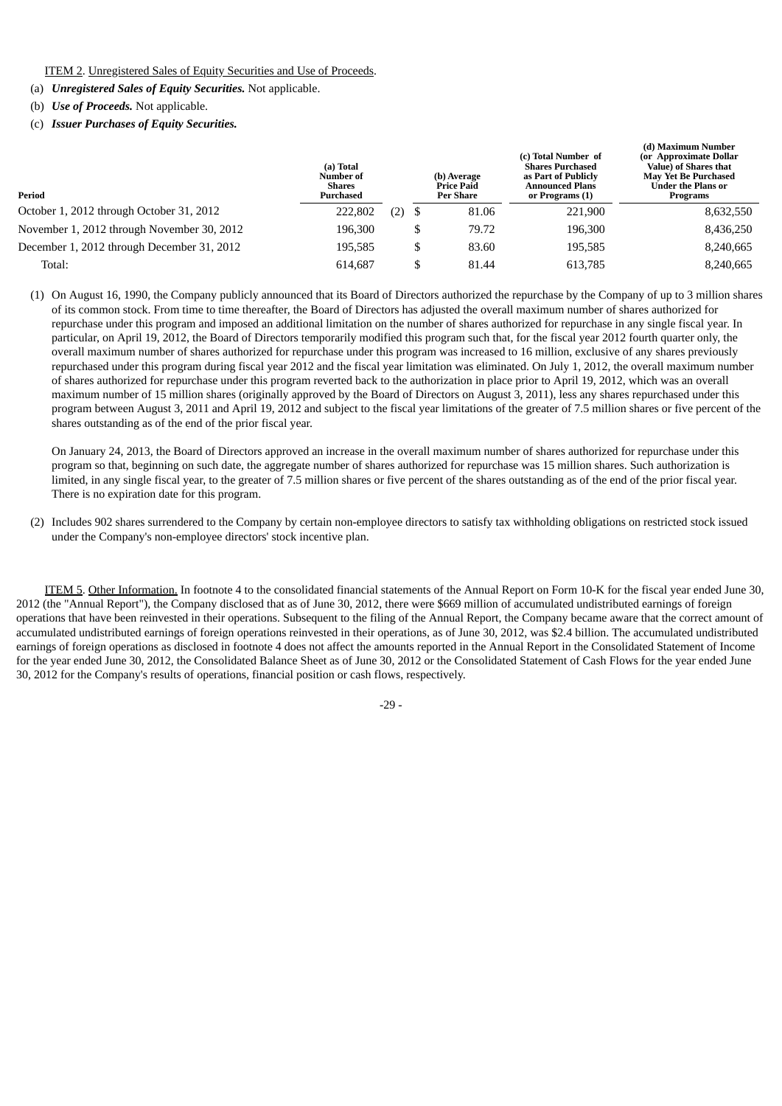#### ITEM 2. Unregistered Sales of Equity Securities and Use of Proceeds.

(a) *Unregistered Sales of Equity Securities.* Not applicable.

- (b) *Use of Proceeds.* Not applicable.
- (c) *Issuer Purchases of Equity Securities.*

| Period                                     | (a) Total<br><b>Number of</b><br><b>Shares</b><br>Purchased | (b) Average<br><b>Price Paid</b><br><b>Per Share</b> |    |       | (c) Total Number of<br><b>Shares Purchased</b><br>as Part of Publicly<br><b>Announced Plans</b><br>or Programs (1) | талинин гишрет<br>(or Approximate Dollar<br>Value) of Shares that<br><b>May Yet Be Purchased</b><br>Under the Plans or<br>Programs |
|--------------------------------------------|-------------------------------------------------------------|------------------------------------------------------|----|-------|--------------------------------------------------------------------------------------------------------------------|------------------------------------------------------------------------------------------------------------------------------------|
| October 1, 2012 through October 31, 2012   | 222,802                                                     | (2)                                                  | \$ | 81.06 | 221.900                                                                                                            | 8,632,550                                                                                                                          |
| November 1, 2012 through November 30, 2012 | 196.300                                                     |                                                      | \$ | 79.72 | 196,300                                                                                                            | 8,436,250                                                                                                                          |
| December 1, 2012 through December 31, 2012 | 195,585                                                     |                                                      | \$ | 83.60 | 195.585                                                                                                            | 8,240,665                                                                                                                          |
| Total:                                     | 614.687                                                     |                                                      | \$ | 81.44 | 613.785                                                                                                            | 8,240,665                                                                                                                          |
|                                            |                                                             |                                                      |    |       |                                                                                                                    |                                                                                                                                    |

**(d) Maximum Number**

(1) On August 16, 1990, the Company publicly announced that its Board of Directors authorized the repurchase by the Company of up to 3 million shares of its common stock. From time to time thereafter, the Board of Directors has adjusted the overall maximum number of shares authorized for repurchase under this program and imposed an additional limitation on the number of shares authorized for repurchase in any single fiscal year. In particular, on April 19, 2012, the Board of Directors temporarily modified this program such that, for the fiscal year 2012 fourth quarter only, the overall maximum number of shares authorized for repurchase under this program was increased to 16 million, exclusive of any shares previously repurchased under this program during fiscal year 2012 and the fiscal year limitation was eliminated. On July 1, 2012, the overall maximum number of shares authorized for repurchase under this program reverted back to the authorization in place prior to April 19, 2012, which was an overall maximum number of 15 million shares (originally approved by the Board of Directors on August 3, 2011), less any shares repurchased under this program between August 3, 2011 and April 19, 2012 and subject to the fiscal year limitations of the greater of 7.5 million shares or five percent of the shares outstanding as of the end of the prior fiscal year.

On January 24, 2013, the Board of Directors approved an increase in the overall maximum number of shares authorized for repurchase under this program so that, beginning on such date, the aggregate number of shares authorized for repurchase was 15 million shares. Such authorization is limited, in any single fiscal year, to the greater of 7.5 million shares or five percent of the shares outstanding as of the end of the prior fiscal year. There is no expiration date for this program.

(2) Includes 902 shares surrendered to the Company by certain non-employee directors to satisfy tax withholding obligations on restricted stock issued under the Company's non-employee directors' stock incentive plan.

ITEM 5. Other Information. In footnote 4 to the consolidated financial statements of the Annual Report on Form 10-K for the fiscal year ended June 30, 2012 (the "Annual Report"), the Company disclosed that as of June 30, 2012, there were \$669 million of accumulated undistributed earnings of foreign operations that have been reinvested in their operations. Subsequent to the filing of the Annual Report, the Company became aware that the correct amount of accumulated undistributed earnings of foreign operations reinvested in their operations, as of June 30, 2012, was \$2.4 billion. The accumulated undistributed earnings of foreign operations as disclosed in footnote 4 does not affect the amounts reported in the Annual Report in the Consolidated Statement of Income for the year ended June 30, 2012, the Consolidated Balance Sheet as of June 30, 2012 or the Consolidated Statement of Cash Flows for the year ended June 30, 2012 for the Company's results of operations, financial position or cash flows, respectively.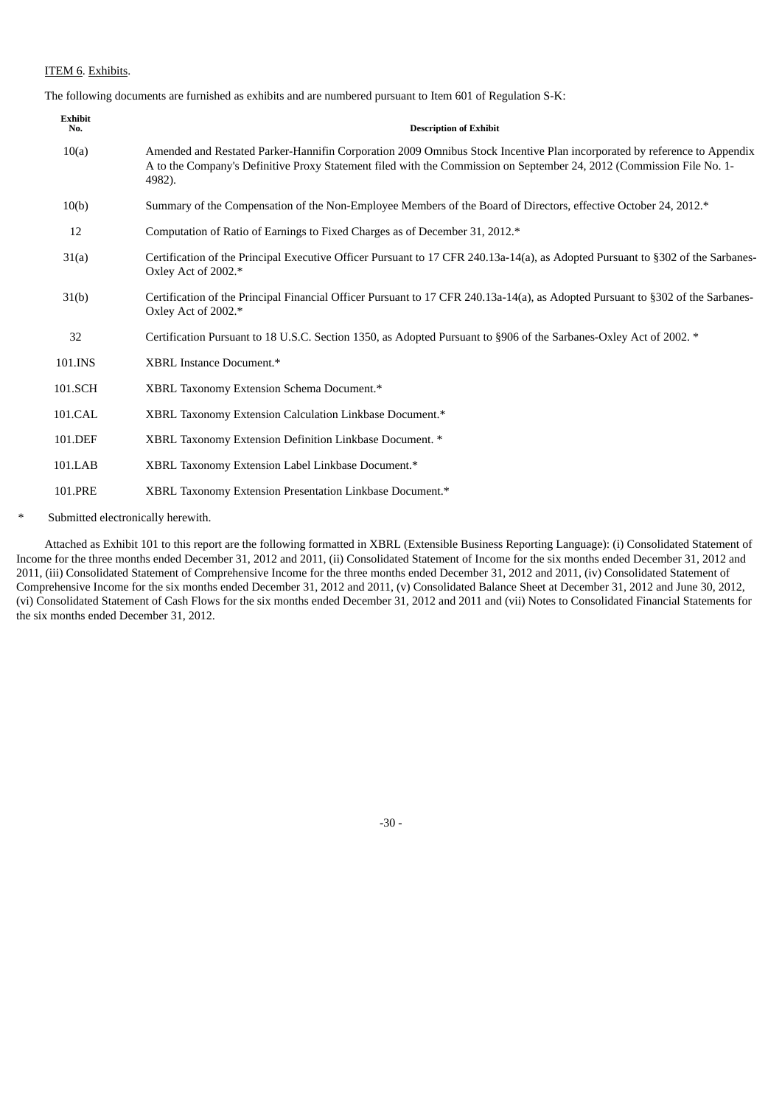## ITEM 6. Exhibits.

The following documents are furnished as exhibits and are numbered pursuant to Item 601 of Regulation S-K:

| <b>Exhibit</b><br>No. | <b>Description of Exhibit</b>                                                                                                                                                                                                                               |
|-----------------------|-------------------------------------------------------------------------------------------------------------------------------------------------------------------------------------------------------------------------------------------------------------|
| 10(a)                 | Amended and Restated Parker-Hannifin Corporation 2009 Omnibus Stock Incentive Plan incorporated by reference to Appendix<br>A to the Company's Definitive Proxy Statement filed with the Commission on September 24, 2012 (Commission File No. 1-<br>4982). |
| 10(b)                 | Summary of the Compensation of the Non-Employee Members of the Board of Directors, effective October 24, 2012.*                                                                                                                                             |
| 12                    | Computation of Ratio of Earnings to Fixed Charges as of December 31, 2012.*                                                                                                                                                                                 |
| 31(a)                 | Certification of the Principal Executive Officer Pursuant to 17 CFR 240.13a-14(a), as Adopted Pursuant to §302 of the Sarbanes-<br>Oxley Act of 2002.*                                                                                                      |
| 31(b)                 | Certification of the Principal Financial Officer Pursuant to 17 CFR 240.13a-14(a), as Adopted Pursuant to §302 of the Sarbanes-<br>Oxley Act of 2002.*                                                                                                      |
| 32                    | Certification Pursuant to 18 U.S.C. Section 1350, as Adopted Pursuant to §906 of the Sarbanes-Oxley Act of 2002. *                                                                                                                                          |
| 101.INS               | XBRL Instance Document.*                                                                                                                                                                                                                                    |
| 101.SCH               | XBRL Taxonomy Extension Schema Document.*                                                                                                                                                                                                                   |
| 101.CAL               | XBRL Taxonomy Extension Calculation Linkbase Document.*                                                                                                                                                                                                     |
| 101.DEF               | XBRL Taxonomy Extension Definition Linkbase Document. *                                                                                                                                                                                                     |
| 101.LAB               | XBRL Taxonomy Extension Label Linkbase Document.*                                                                                                                                                                                                           |
| 101.PRE               | XBRL Taxonomy Extension Presentation Linkbase Document.*                                                                                                                                                                                                    |

\* Submitted electronically herewith.

Attached as Exhibit 101 to this report are the following formatted in XBRL (Extensible Business Reporting Language): (i) Consolidated Statement of Income for the three months ended December 31, 2012 and 2011, (ii) Consolidated Statement of Income for the six months ended December 31, 2012 and 2011, (iii) Consolidated Statement of Comprehensive Income for the three months ended December 31, 2012 and 2011, (iv) Consolidated Statement of Comprehensive Income for the six months ended December 31, 2012 and 2011, (v) Consolidated Balance Sheet at December 31, 2012 and June 30, 2012, (vi) Consolidated Statement of Cash Flows for the six months ended December 31, 2012 and 2011 and (vii) Notes to Consolidated Financial Statements for the six months ended December 31, 2012.

-30 -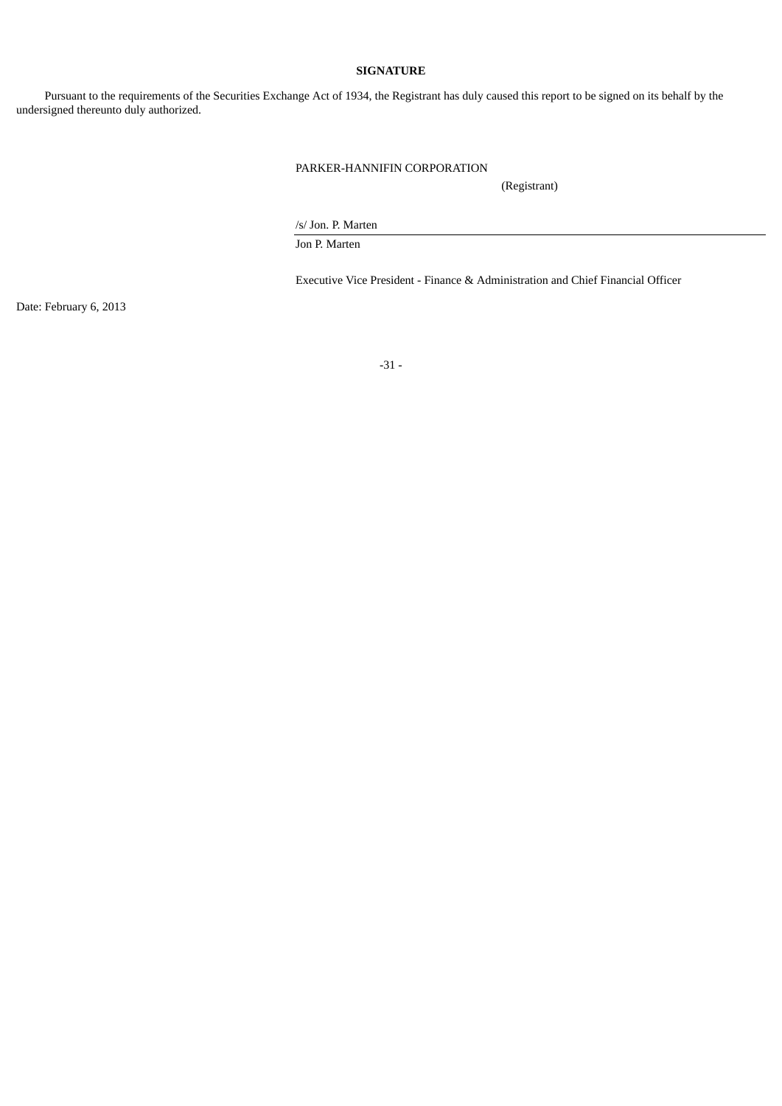## **SIGNATURE**

Pursuant to the requirements of the Securities Exchange Act of 1934, the Registrant has duly caused this report to be signed on its behalf by the undersigned thereunto duly authorized.

## PARKER-HANNIFIN CORPORATION

(Registrant)

/s/ Jon. P. Marten

Jon P. Marten

Executive Vice President - Finance & Administration and Chief Financial Officer

Date: February 6, 2013

-31 -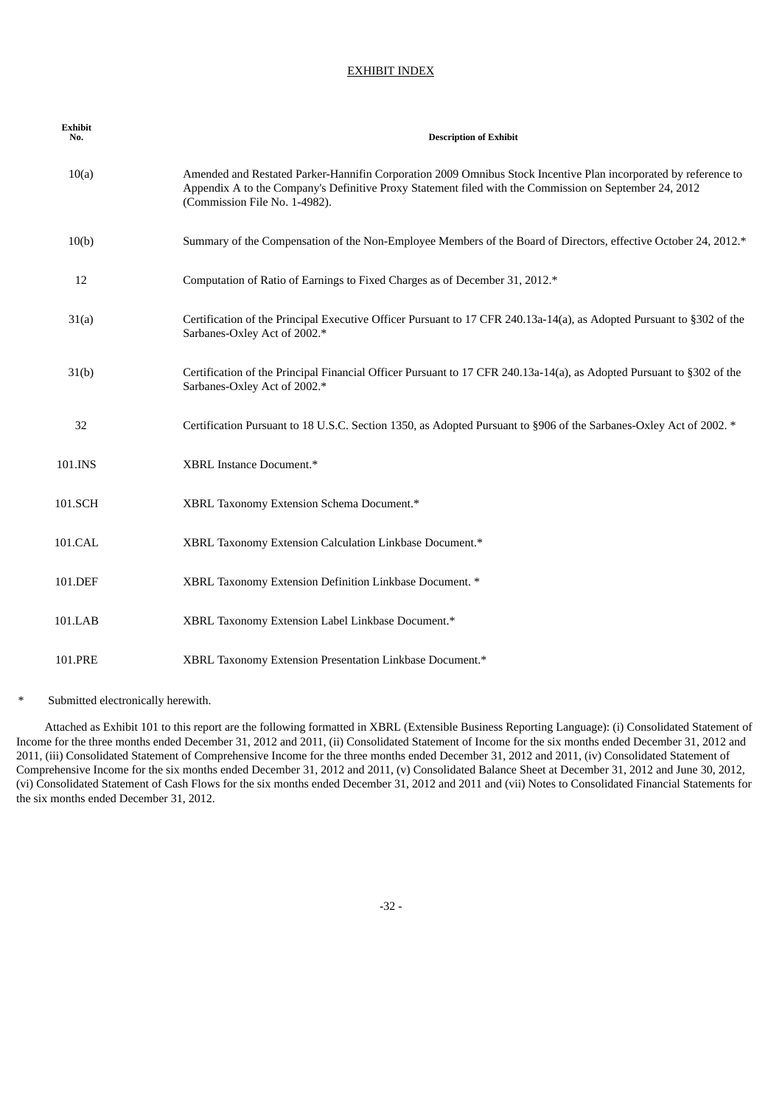#### EXHIBIT INDEX

| Exhibit<br>No. | <b>Description of Exhibit</b>                                                                                                                                                                                                                              |
|----------------|------------------------------------------------------------------------------------------------------------------------------------------------------------------------------------------------------------------------------------------------------------|
| 10(a)          | Amended and Restated Parker-Hannifin Corporation 2009 Omnibus Stock Incentive Plan incorporated by reference to<br>Appendix A to the Company's Definitive Proxy Statement filed with the Commission on September 24, 2012<br>(Commission File No. 1-4982). |
| 10(b)          | Summary of the Compensation of the Non-Employee Members of the Board of Directors, effective October 24, 2012.*                                                                                                                                            |
| 12             | Computation of Ratio of Earnings to Fixed Charges as of December 31, 2012.*                                                                                                                                                                                |
| 31(a)          | Certification of the Principal Executive Officer Pursuant to 17 CFR 240.13a-14(a), as Adopted Pursuant to §302 of the<br>Sarbanes-Oxley Act of 2002.*                                                                                                      |
| 31(b)          | Certification of the Principal Financial Officer Pursuant to 17 CFR 240.13a-14(a), as Adopted Pursuant to §302 of the<br>Sarbanes-Oxley Act of 2002.*                                                                                                      |
| 32             | Certification Pursuant to 18 U.S.C. Section 1350, as Adopted Pursuant to §906 of the Sarbanes-Oxley Act of 2002. *                                                                                                                                         |
| 101.INS        | XBRL Instance Document.*                                                                                                                                                                                                                                   |
| 101.SCH        | XBRL Taxonomy Extension Schema Document.*                                                                                                                                                                                                                  |
| 101.CAL        | XBRL Taxonomy Extension Calculation Linkbase Document.*                                                                                                                                                                                                    |
| 101.DEF        | XBRL Taxonomy Extension Definition Linkbase Document. *                                                                                                                                                                                                    |
| 101.LAB        | XBRL Taxonomy Extension Label Linkbase Document.*                                                                                                                                                                                                          |
| 101.PRE        | XBRL Taxonomy Extension Presentation Linkbase Document.*                                                                                                                                                                                                   |

\* Submitted electronically herewith.

Attached as Exhibit 101 to this report are the following formatted in XBRL (Extensible Business Reporting Language): (i) Consolidated Statement of Income for the three months ended December 31, 2012 and 2011, (ii) Consolidated Statement of Income for the six months ended December 31, 2012 and 2011, (iii) Consolidated Statement of Comprehensive Income for the three months ended December 31, 2012 and 2011, (iv) Consolidated Statement of Comprehensive Income for the six months ended December 31, 2012 and 2011, (v) Consolidated Balance Sheet at December 31, 2012 and June 30, 2012, (vi) Consolidated Statement of Cash Flows for the six months ended December 31, 2012 and 2011 and (vii) Notes to Consolidated Financial Statements for the six months ended December 31, 2012.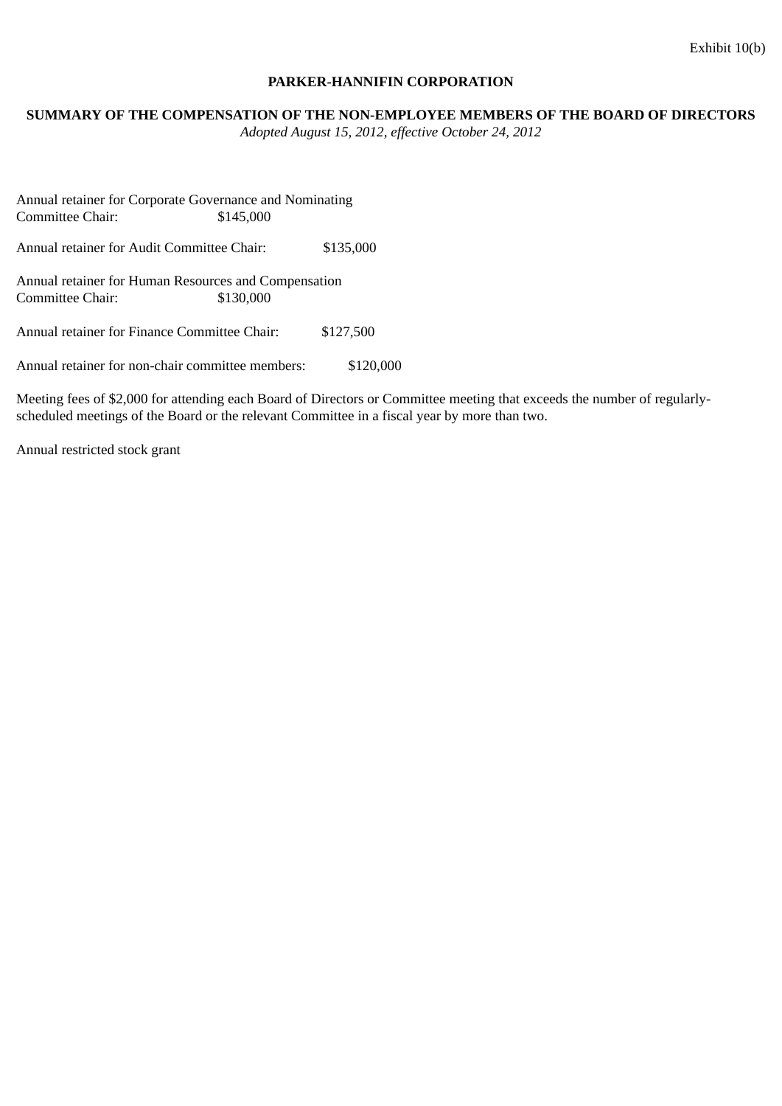## **SUMMARY OF THE COMPENSATION OF THE NON-EMPLOYEE MEMBERS OF THE BOARD OF DIRECTORS**

*Adopted August 15, 2012, effective October 24, 2012*

Annual retainer for Corporate Governance and Nominating Committee Chair: \$145,000 Annual retainer for Audit Committee Chair: \$135,000 Annual retainer for Human Resources and Compensation Committee Chair: \$130,000 Annual retainer for Finance Committee Chair: \$127,500 Annual retainer for non-chair committee members: \$120,000

Meeting fees of \$2,000 for attending each Board of Directors or Committee meeting that exceeds the number of regularlyscheduled meetings of the Board or the relevant Committee in a fiscal year by more than two.

Annual restricted stock grant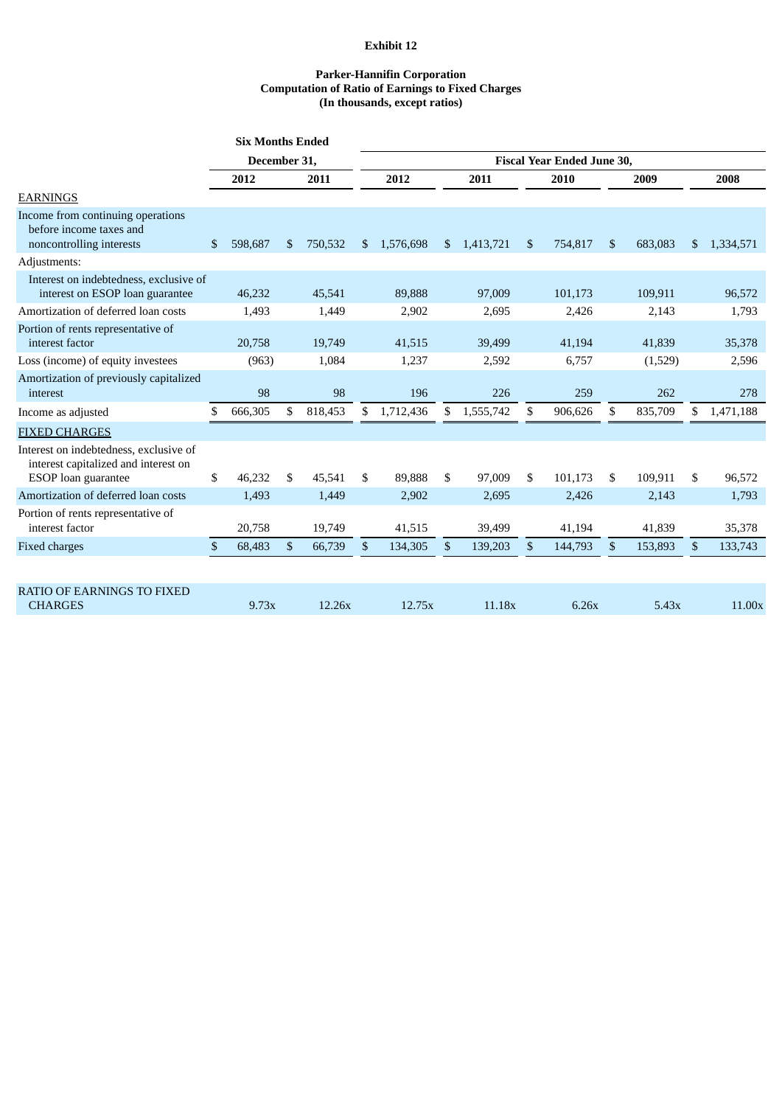## **Exhibit 12**

#### **Parker-Hannifin Corporation Computation of Ratio of Earnings to Fixed Charges (In thousands, except ratios)**

|                                                                                                       | <b>Six Months Ended</b><br>December 31, |         |              |         |                |                                   |                |           |                |         |     |         |               |           |  |
|-------------------------------------------------------------------------------------------------------|-----------------------------------------|---------|--------------|---------|----------------|-----------------------------------|----------------|-----------|----------------|---------|-----|---------|---------------|-----------|--|
|                                                                                                       |                                         |         |              |         |                | <b>Fiscal Year Ended June 30,</b> |                |           |                |         |     |         |               |           |  |
|                                                                                                       |                                         | 2012    |              | 2011    |                | 2012                              |                | 2011      |                | 2010    |     | 2009    |               | 2008      |  |
| <b>EARNINGS</b>                                                                                       |                                         |         |              |         |                |                                   |                |           |                |         |     |         |               |           |  |
| Income from continuing operations<br>before income taxes and<br>noncontrolling interests              | $\mathfrak{L}$                          | 598,687 | \$.          | 750,532 | <sup>\$</sup>  | 1,576,698                         | \$.            | 1,413,721 | \$             | 754.817 | \$. | 683,083 | $\mathcal{S}$ | 1,334,571 |  |
| Adjustments:                                                                                          |                                         |         |              |         |                |                                   |                |           |                |         |     |         |               |           |  |
| Interest on indebtedness, exclusive of<br>interest on ESOP loan guarantee                             |                                         | 46,232  |              | 45,541  |                | 89,888                            |                | 97,009    |                | 101,173 |     | 109,911 |               | 96,572    |  |
| Amortization of deferred loan costs                                                                   |                                         | 1,493   |              | 1,449   |                | 2,902                             |                | 2,695     |                | 2,426   |     | 2,143   |               | 1,793     |  |
| Portion of rents representative of<br>interest factor                                                 |                                         | 20,758  |              | 19,749  |                | 41,515                            |                | 39,499    |                | 41,194  |     | 41,839  |               | 35,378    |  |
| Loss (income) of equity investees                                                                     |                                         | (963)   |              | 1,084   |                | 1,237                             |                | 2,592     |                | 6,757   |     | (1,529) |               | 2,596     |  |
| Amortization of previously capitalized<br>interest                                                    |                                         | 98      |              | 98      |                | 196                               |                | 226       |                | 259     |     | 262     |               | 278       |  |
| Income as adjusted                                                                                    |                                         | 666,305 | \$           | 818,453 | \$             | 1,712,436                         | \$             | 1,555,742 | \$             | 906,626 | \$  | 835,709 | \$            | 1,471,188 |  |
| <b>FIXED CHARGES</b>                                                                                  |                                         |         |              |         |                |                                   |                |           |                |         |     |         |               |           |  |
| Interest on indebtedness, exclusive of<br>interest capitalized and interest on<br>ESOP loan guarantee | \$                                      | 46,232  | \$           | 45,541  | \$             | 89.888                            | \$             | 97,009    | \$             | 101.173 | \$  | 109.911 | \$            | 96,572    |  |
| Amortization of deferred loan costs                                                                   |                                         | 1,493   |              | 1,449   |                | 2,902                             |                | 2,695     |                | 2,426   |     | 2,143   |               | 1,793     |  |
| Portion of rents representative of<br>interest factor                                                 |                                         | 20,758  |              | 19,749  |                | 41,515                            |                | 39,499    |                | 41,194  |     | 41,839  |               | 35,378    |  |
| Fixed charges                                                                                         | $\mathfrak{L}$                          | 68,483  | $\mathbb{S}$ | 66,739  | $\mathfrak{S}$ | 134,305                           | $\mathfrak{S}$ | 139,203   | $\mathfrak{S}$ | 144,793 | \$  | 153,893 | $\mathbb{S}$  | 133,743   |  |
|                                                                                                       |                                         |         |              |         |                |                                   |                |           |                |         |     |         |               |           |  |
| <b>RATIO OF EARNINGS TO FIXED</b><br><b>CHARGES</b>                                                   |                                         | 9.73x   |              | 12.26x  |                | 12.75x                            |                | 11.18x    |                | 6.26x   |     | 5.43x   |               | 11.00x    |  |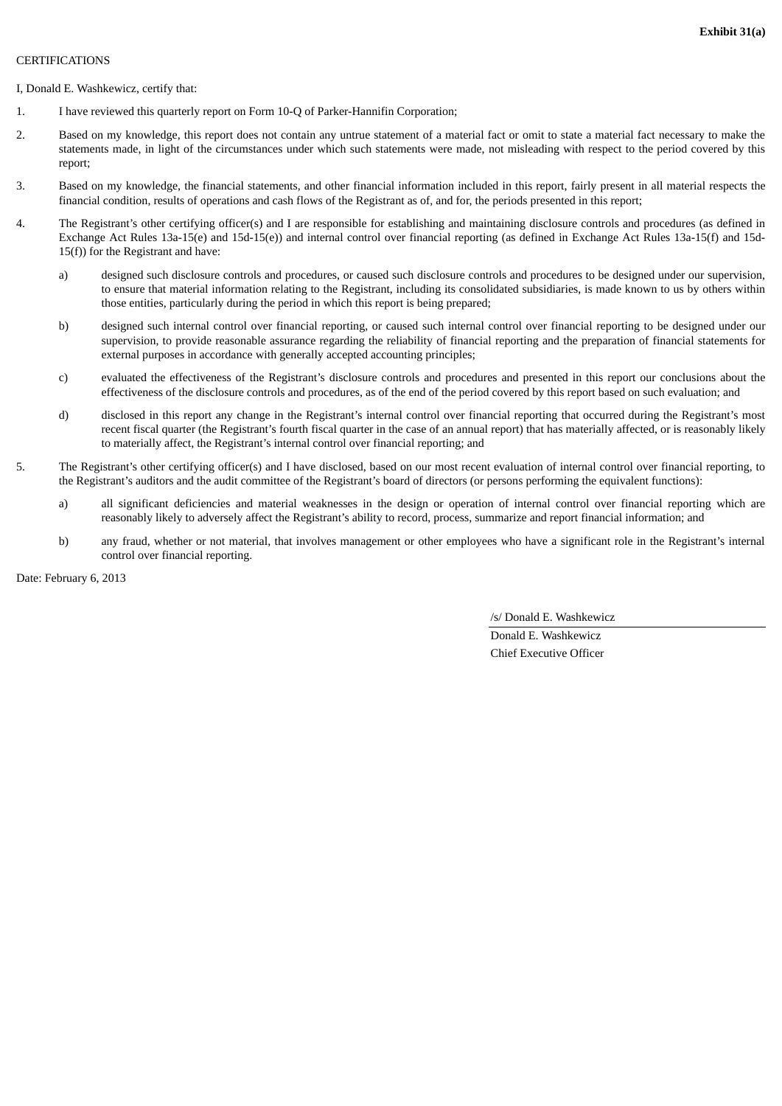#### **CERTIFICATIONS**

I, Donald E. Washkewicz, certify that:

- 1. I have reviewed this quarterly report on Form 10-Q of Parker-Hannifin Corporation;
- 2. Based on my knowledge, this report does not contain any untrue statement of a material fact or omit to state a material fact necessary to make the statements made, in light of the circumstances under which such statements were made, not misleading with respect to the period covered by this report;
- 3. Based on my knowledge, the financial statements, and other financial information included in this report, fairly present in all material respects the financial condition, results of operations and cash flows of the Registrant as of, and for, the periods presented in this report;
- 4. The Registrant's other certifying officer(s) and I are responsible for establishing and maintaining disclosure controls and procedures (as defined in Exchange Act Rules 13a-15(e) and 15d-15(e)) and internal control over financial reporting (as defined in Exchange Act Rules 13a-15(f) and 15d-15(f)) for the Registrant and have:
	- a) designed such disclosure controls and procedures, or caused such disclosure controls and procedures to be designed under our supervision, to ensure that material information relating to the Registrant, including its consolidated subsidiaries, is made known to us by others within those entities, particularly during the period in which this report is being prepared;
	- b) designed such internal control over financial reporting, or caused such internal control over financial reporting to be designed under our supervision, to provide reasonable assurance regarding the reliability of financial reporting and the preparation of financial statements for external purposes in accordance with generally accepted accounting principles;
	- c) evaluated the effectiveness of the Registrant's disclosure controls and procedures and presented in this report our conclusions about the effectiveness of the disclosure controls and procedures, as of the end of the period covered by this report based on such evaluation; and
	- d) disclosed in this report any change in the Registrant's internal control over financial reporting that occurred during the Registrant's most recent fiscal quarter (the Registrant's fourth fiscal quarter in the case of an annual report) that has materially affected, or is reasonably likely to materially affect, the Registrant's internal control over financial reporting; and
- 5. The Registrant's other certifying officer(s) and I have disclosed, based on our most recent evaluation of internal control over financial reporting, to the Registrant's auditors and the audit committee of the Registrant's board of directors (or persons performing the equivalent functions):
	- a) all significant deficiencies and material weaknesses in the design or operation of internal control over financial reporting which are reasonably likely to adversely affect the Registrant's ability to record, process, summarize and report financial information; and
	- b) any fraud, whether or not material, that involves management or other employees who have a significant role in the Registrant's internal control over financial reporting.

Date: February 6, 2013

/s/ Donald E. Washkewicz

Donald E. Washkewicz Chief Executive Officer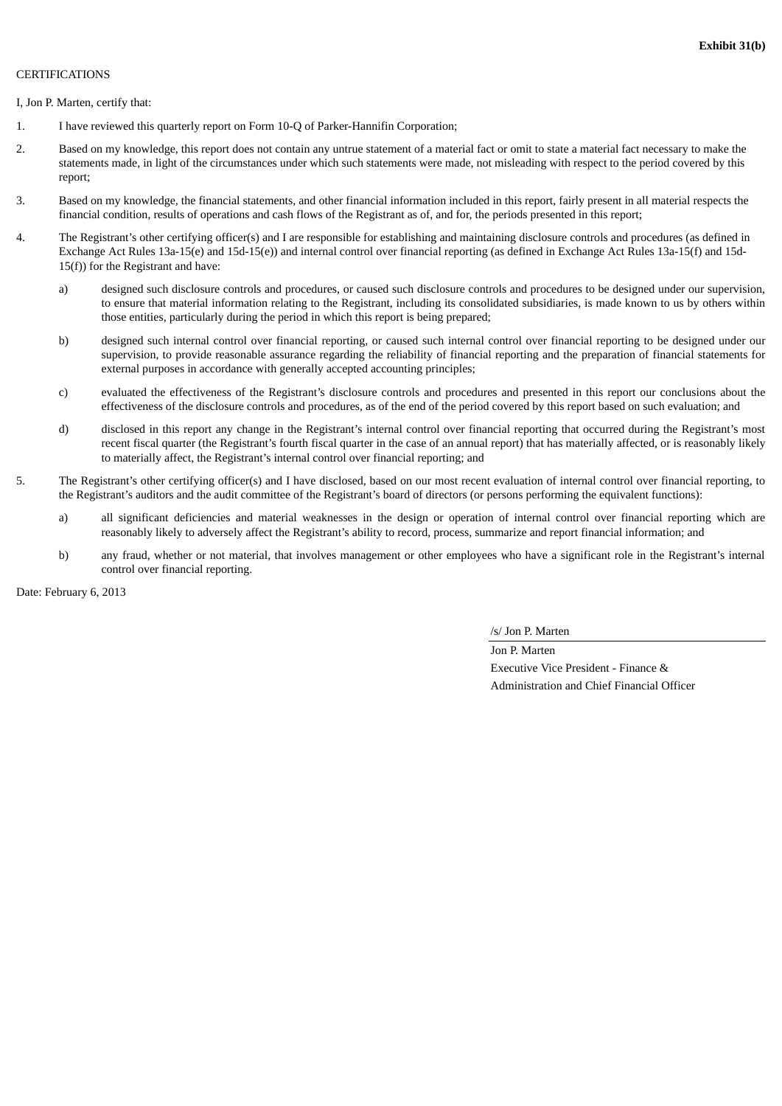#### **CERTIFICATIONS**

I, Jon P. Marten, certify that:

- 1. I have reviewed this quarterly report on Form 10-Q of Parker-Hannifin Corporation;
- 2. Based on my knowledge, this report does not contain any untrue statement of a material fact or omit to state a material fact necessary to make the statements made, in light of the circumstances under which such statements were made, not misleading with respect to the period covered by this report;
- 3. Based on my knowledge, the financial statements, and other financial information included in this report, fairly present in all material respects the financial condition, results of operations and cash flows of the Registrant as of, and for, the periods presented in this report;
- 4. The Registrant's other certifying officer(s) and I are responsible for establishing and maintaining disclosure controls and procedures (as defined in Exchange Act Rules 13a-15(e) and 15d-15(e)) and internal control over financial reporting (as defined in Exchange Act Rules 13a-15(f) and 15d-15(f)) for the Registrant and have:
	- a) designed such disclosure controls and procedures, or caused such disclosure controls and procedures to be designed under our supervision, to ensure that material information relating to the Registrant, including its consolidated subsidiaries, is made known to us by others within those entities, particularly during the period in which this report is being prepared;
	- b) designed such internal control over financial reporting, or caused such internal control over financial reporting to be designed under our supervision, to provide reasonable assurance regarding the reliability of financial reporting and the preparation of financial statements for external purposes in accordance with generally accepted accounting principles;
	- c) evaluated the effectiveness of the Registrant's disclosure controls and procedures and presented in this report our conclusions about the effectiveness of the disclosure controls and procedures, as of the end of the period covered by this report based on such evaluation; and
	- d) disclosed in this report any change in the Registrant's internal control over financial reporting that occurred during the Registrant's most recent fiscal quarter (the Registrant's fourth fiscal quarter in the case of an annual report) that has materially affected, or is reasonably likely to materially affect, the Registrant's internal control over financial reporting; and
- 5. The Registrant's other certifying officer(s) and I have disclosed, based on our most recent evaluation of internal control over financial reporting, to the Registrant's auditors and the audit committee of the Registrant's board of directors (or persons performing the equivalent functions):
	- a) all significant deficiencies and material weaknesses in the design or operation of internal control over financial reporting which are reasonably likely to adversely affect the Registrant's ability to record, process, summarize and report financial information; and
	- b) any fraud, whether or not material, that involves management or other employees who have a significant role in the Registrant's internal control over financial reporting.

Date: February 6, 2013

/s/ Jon P. Marten

Jon P. Marten Executive Vice President - Finance & Administration and Chief Financial Officer